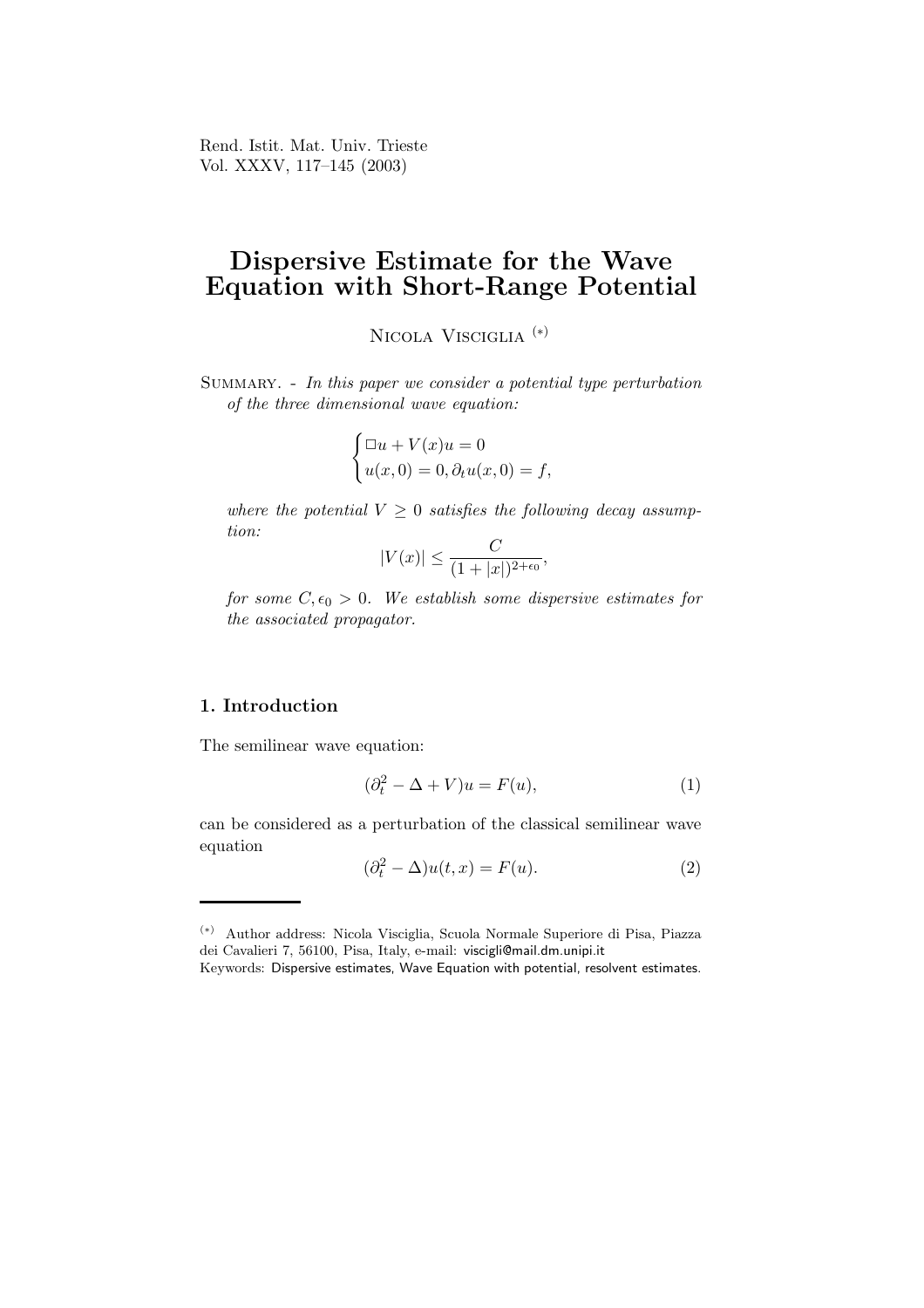Rend. Istit. Mat. Univ. Trieste Vol. XXXV, 117–145 (2003)

# Dispersive Estimate for the Wave Equation with Short-Range Potential

NICOLA VISCIGLIA<sup>(\*)</sup>

SUMMARY. - In this paper we consider a potential type perturbation of the three dimensional wave equation:

$$
\begin{cases} \Box u + V(x)u = 0\\ u(x,0) = 0, \partial_t u(x,0) = f, \end{cases}
$$

where the potential  $V \geq 0$  satisfies the following decay assumption:

$$
|V(x)| \le \frac{C}{(1+|x|)^{2+\epsilon_0}},
$$

for some  $C, \epsilon_0 > 0$ . We establish some dispersive estimates for the associated propagator.

# 1. Introduction

The semilinear wave equation:

$$
(\partial_t^2 - \Delta + V)u = F(u),\tag{1}
$$

can be considered as a perturbation of the classical semilinear wave equation

$$
(\partial_t^2 - \Delta)u(t, x) = F(u). \tag{2}
$$

<sup>(</sup>∗) Author address: Nicola Visciglia, Scuola Normale Superiore di Pisa, Piazza dei Cavalieri 7, 56100, Pisa, Italy, e-mail: viscigli@mail.dm.unipi.it

Keywords: Dispersive estimates, Wave Equation with potential, resolvent estimates.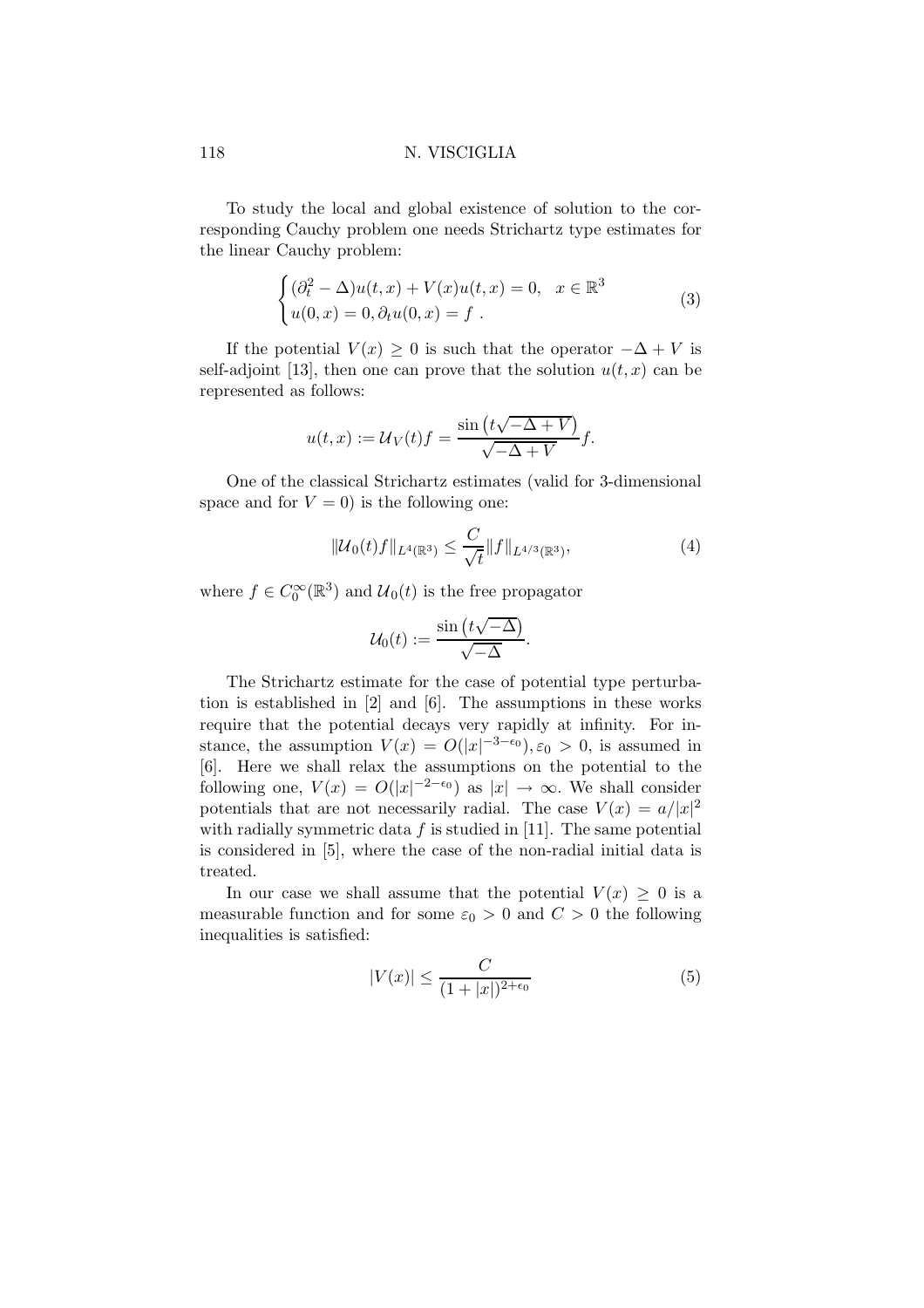To study the local and global existence of solution to the corresponding Cauchy problem one needs Strichartz type estimates for the linear Cauchy problem:

$$
\begin{cases} (\partial_t^2 - \Delta)u(t, x) + V(x)u(t, x) = 0, & x \in \mathbb{R}^3 \\ u(0, x) = 0, & \partial_t u(0, x) = f. \end{cases}
$$
\n(3)

If the potential  $V(x) \geq 0$  is such that the operator  $-\Delta + V$  is self-adjoint [13], then one can prove that the solution  $u(t, x)$  can be represented as follows:

$$
u(t,x) := \mathcal{U}_V(t)f = \frac{\sin\left(t\sqrt{-\Delta + V}\right)}{\sqrt{-\Delta + V}}f.
$$

One of the classical Strichartz estimates (valid for 3-dimensional space and for  $V = 0$ ) is the following one:

$$
\|\mathcal{U}_0(t)f\|_{L^4(\mathbb{R}^3)} \le \frac{C}{\sqrt{t}} \|f\|_{L^{4/3}(\mathbb{R}^3)},\tag{4}
$$

where  $f \in C_0^{\infty}(\mathbb{R}^3)$  and  $\mathcal{U}_0(t)$  is the free propagator

$$
\mathcal{U}_0(t) := \frac{\sin(t\sqrt{-\Delta})}{\sqrt{-\Delta}}.
$$

The Strichartz estimate for the case of potential type perturbation is established in [2] and [6]. The assumptions in these works require that the potential decays very rapidly at infinity. For instance, the assumption  $V(x) = O(|x|^{-3-\epsilon_0}), \epsilon_0 > 0$ , is assumed in [6]. Here we shall relax the assumptions on the potential to the following one,  $V(x) = O(|x|^{-2-\epsilon_0})$  as  $|x| \to \infty$ . We shall consider potentials that are not necessarily radial. The case  $V(x) = a/|x|^2$ with radially symmetric data  $f$  is studied in [11]. The same potential is considered in [5], where the case of the non-radial initial data is treated.

In our case we shall assume that the potential  $V(x) \geq 0$  is a measurable function and for some  $\varepsilon_0 > 0$  and  $C > 0$  the following inequalities is satisfied:

$$
|V(x)| \le \frac{C}{(1+|x|)^{2+\epsilon_0}}\tag{5}
$$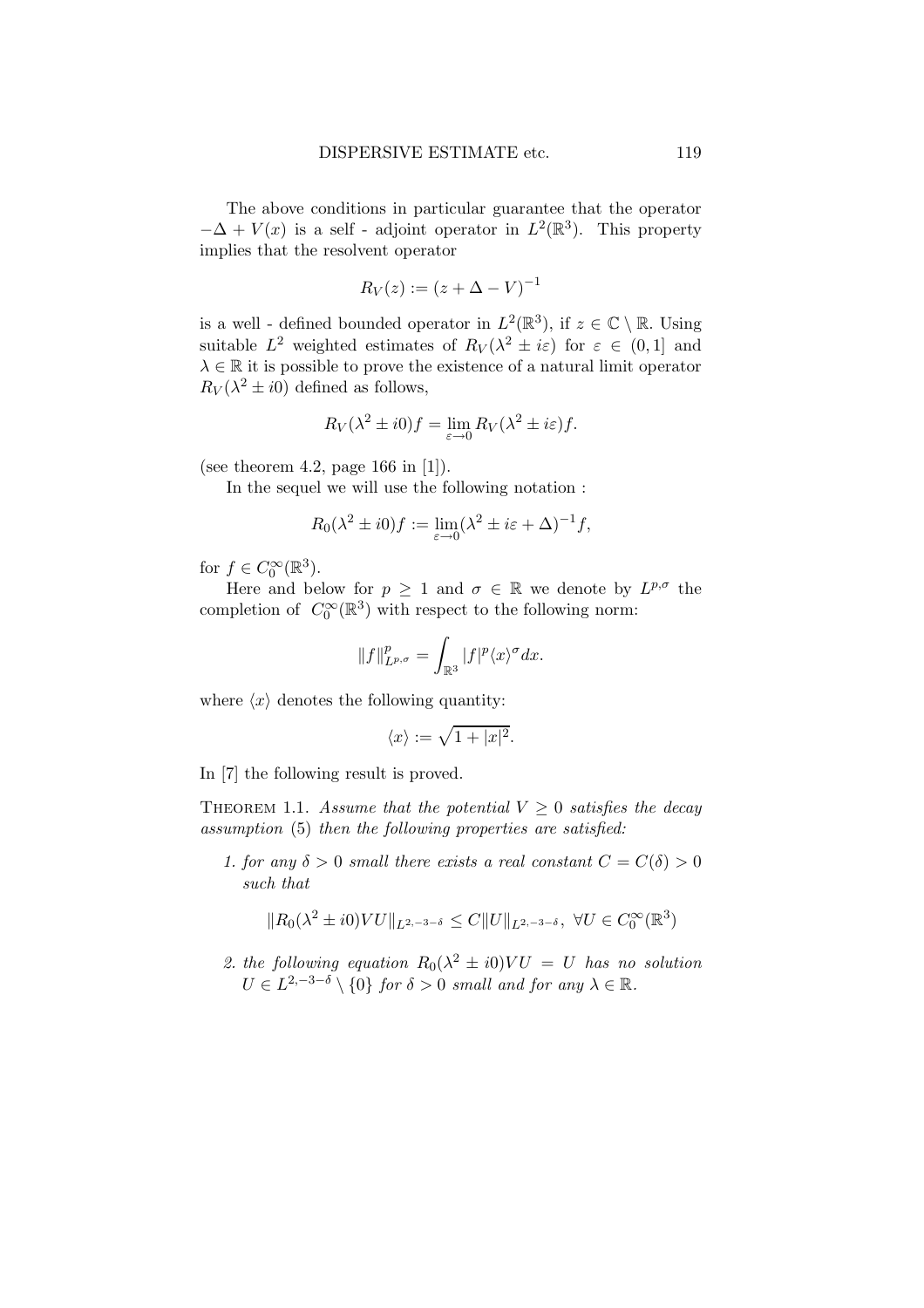The above conditions in particular guarantee that the operator  $-\Delta + V(x)$  is a self - adjoint operator in  $L^2(\mathbb{R}^3)$ . This property implies that the resolvent operator

$$
R_V(z) := (z + \Delta - V)^{-1}
$$

is a well - defined bounded operator in  $L^2(\mathbb{R}^3)$ , if  $z \in \mathbb{C} \setminus \mathbb{R}$ . Using suitable  $L^2$  weighted estimates of  $R_V(\lambda^2 \pm i\varepsilon)$  for  $\varepsilon \in (0,1]$  and  $\lambda \in \mathbb{R}$  it is possible to prove the existence of a natural limit operator  $R_V(\lambda^2 \pm i0)$  defined as follows,

$$
R_V(\lambda^2 \pm i0)f = \lim_{\varepsilon \to 0} R_V(\lambda^2 \pm i\varepsilon)f.
$$

(see theorem 4.2, page 166 in [1]).

In the sequel we will use the following notation :

$$
R_0(\lambda^2 \pm i0)f := \lim_{\varepsilon \to 0} (\lambda^2 \pm i\varepsilon + \Delta)^{-1}f,
$$

for  $f \in C_0^{\infty}(\mathbb{R}^3)$ .

Here and below for  $p \geq 1$  and  $\sigma \in \mathbb{R}$  we denote by  $L^{p,\sigma}$  the completion of  $C_0^{\infty}(\mathbb{R}^3)$  with respect to the following norm:

$$
||f||_{L^{p,\sigma}}^p = \int_{\mathbb{R}^3} |f|^p \langle x \rangle^{\sigma} dx.
$$

where  $\langle x \rangle$  denotes the following quantity:

$$
\langle x \rangle := \sqrt{1+|x|^2}.
$$

In [7] the following result is proved.

THEOREM 1.1. Assume that the potential  $V \geq 0$  satisfies the decay assumption (5) then the following properties are satisfied:

1. for any  $\delta > 0$  small there exists a real constant  $C = C(\delta) > 0$ such that

$$
||R_0(\lambda^2 \pm i0)VU||_{L^{2,-3-\delta}} \leq C||U||_{L^{2,-3-\delta}}, \ \forall U \in C_0^{\infty}(\mathbb{R}^3)
$$

2. the following equation  $R_0(\lambda^2 \pm i0)VU = U$  has no solution  $U \in L^{2,-3-\delta} \setminus \{0\}$  for  $\delta > 0$  small and for any  $\lambda \in \mathbb{R}$ .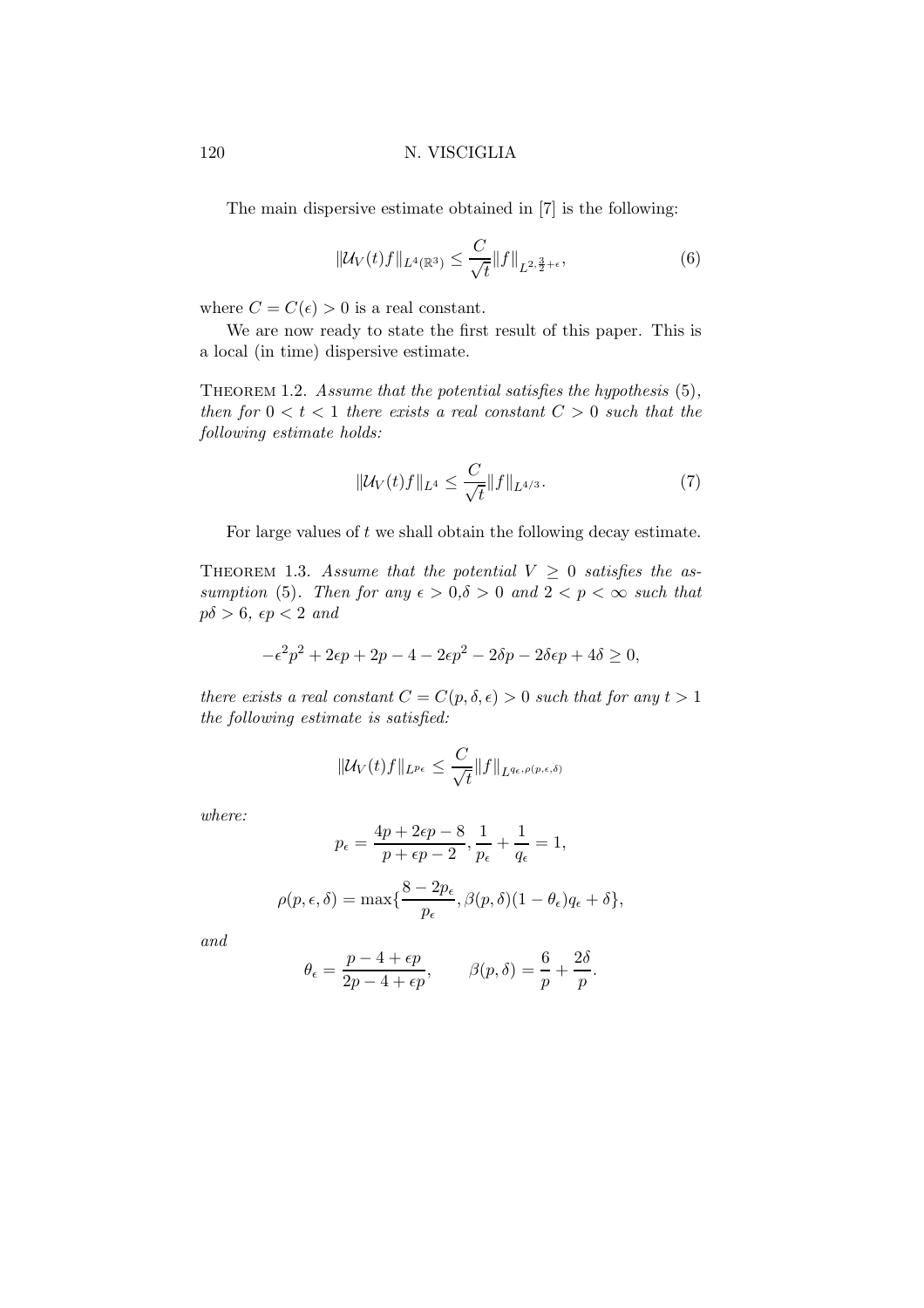The main dispersive estimate obtained in [7] is the following:

$$
\|\mathcal{U}_V(t)f\|_{L^4(\mathbb{R}^3)} \le \frac{C}{\sqrt{t}} \|f\|_{L^{2,\frac{3}{2}+\epsilon}},\tag{6}
$$

where  $C = C(\epsilon) > 0$  is a real constant.

We are now ready to state the first result of this paper. This is a local (in time) dispersive estimate.

THEOREM 1.2. Assume that the potential satisfies the hypothesis  $(5)$ , then for  $0 < t < 1$  there exists a real constant  $C > 0$  such that the following estimate holds:

$$
\|\mathcal{U}_V(t)f\|_{L^4} \le \frac{C}{\sqrt{t}} \|f\|_{L^{4/3}}.\tag{7}
$$

For large values of  $t$  we shall obtain the following decay estimate.

THEOREM 1.3. Assume that the potential  $V > 0$  satisfies the assumption (5). Then for any  $\epsilon > 0, \delta > 0$  and  $2 < p < \infty$  such that  $p\delta > 6$ ,  $\epsilon p < 2$  and

$$
-\epsilon^2 p^2 + 2\epsilon p + 2p - 4 - 2\epsilon p^2 - 2\delta p - 2\delta \epsilon p + 4\delta \ge 0,
$$

there exists a real constant  $C = C(p, \delta, \epsilon) > 0$  such that for any  $t > 1$ the following estimate is satisfied:

$$
\|\mathcal{U}_V(t)f\|_{L^{p_\epsilon}}\leq \frac{C}{\sqrt{t}}\|f\|_{L^{q_\epsilon,\rho(p,\epsilon,\delta)}}
$$

where:

$$
p_{\epsilon} = \frac{4p + 2\epsilon p - 8}{p + \epsilon p - 2}, \frac{1}{p_{\epsilon}} + \frac{1}{q_{\epsilon}} = 1,
$$
  

$$
\rho(p, \epsilon, \delta) = \max\{\frac{8 - 2p_{\epsilon}}{p_{\epsilon}}, \beta(p, \delta)(1 - \theta_{\epsilon})q_{\epsilon} + \delta\},\
$$

and

$$
\theta_{\epsilon} = \frac{p - 4 + \epsilon p}{2p - 4 + \epsilon p}, \qquad \beta(p, \delta) = \frac{6}{p} + \frac{2\delta}{p}.
$$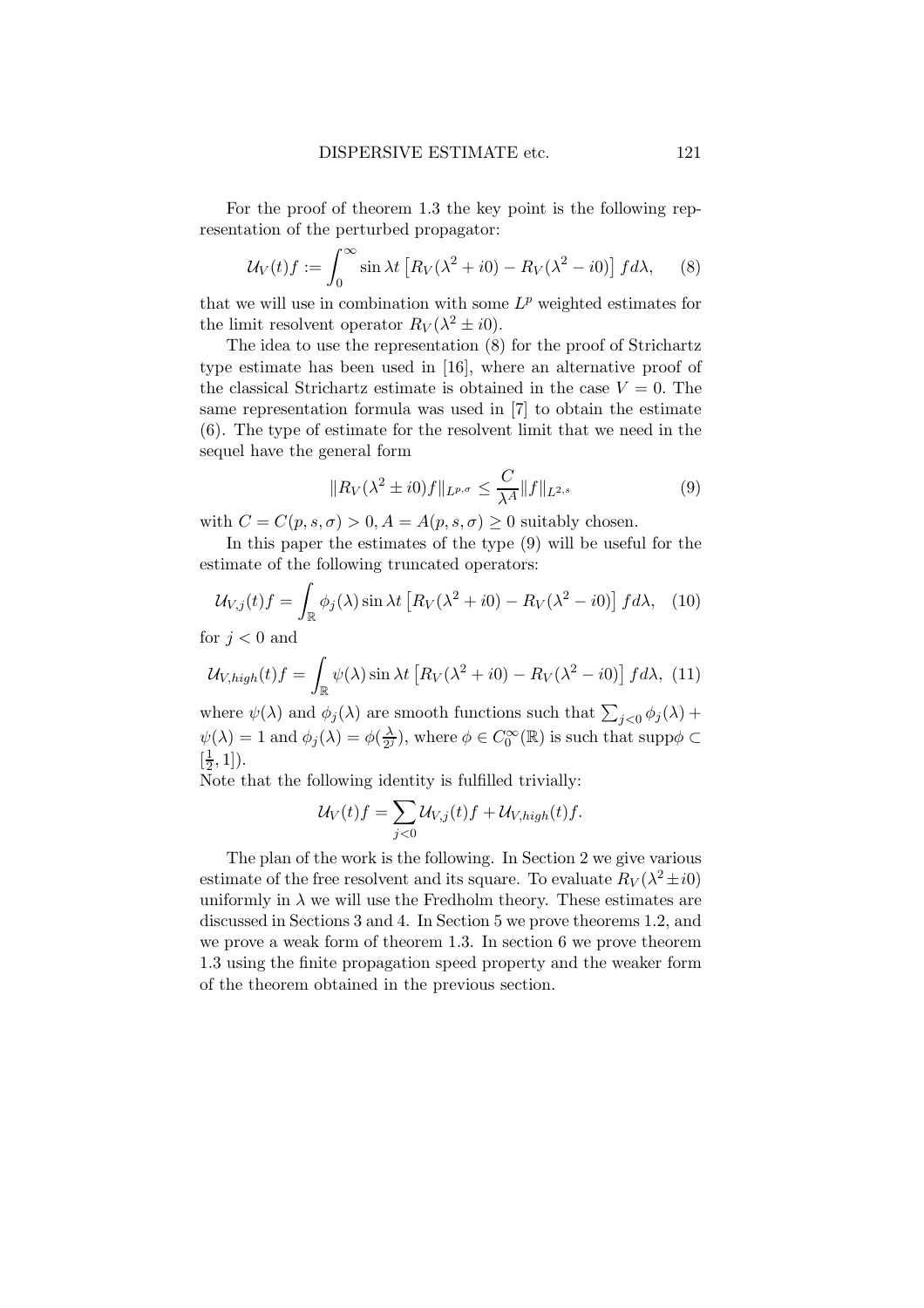For the proof of theorem 1.3 the key point is the following representation of the perturbed propagator:

$$
\mathcal{U}_V(t)f := \int_0^\infty \sin \lambda t \left[ R_V(\lambda^2 + i0) - R_V(\lambda^2 - i0) \right] f d\lambda, \quad (8)
$$

that we will use in combination with some  $L^p$  weighted estimates for the limit resolvent operator  $R_V(\lambda^2 \pm i0)$ .

The idea to use the representation (8) for the proof of Strichartz type estimate has been used in [16], where an alternative proof of the classical Strichartz estimate is obtained in the case  $V = 0$ . The same representation formula was used in [7] to obtain the estimate (6). The type of estimate for the resolvent limit that we need in the sequel have the general form

$$
||R_V(\lambda^2 \pm i0)f||_{L^{p,\sigma}} \le \frac{C}{\lambda^A} ||f||_{L^{2,s}} \tag{9}
$$

with  $C = C(p, s, \sigma) > 0, A = A(p, s, \sigma) \geq 0$  suitably chosen.

In this paper the estimates of the type (9) will be useful for the estimate of the following truncated operators:

$$
\mathcal{U}_{V,j}(t)f = \int_{\mathbb{R}} \phi_j(\lambda) \sin \lambda t \left[ R_V(\lambda^2 + i0) - R_V(\lambda^2 - i0) \right] f d\lambda, \tag{10}
$$

for  $j < 0$  and

$$
\mathcal{U}_{V,high}(t) f = \int_{\mathbb{R}} \psi(\lambda) \sin \lambda t \left[ R_V(\lambda^2 + i0) - R_V(\lambda^2 - i0) \right] f d\lambda, (11)
$$

where  $\psi(\lambda)$  and  $\phi_j(\lambda)$  are smooth functions such that  $\sum_{j<0} \phi_j(\lambda)$  +  $\psi(\lambda) = 1$  and  $\phi_j(\lambda) = \phi(\frac{\lambda}{2^j})$  $(\frac{\lambda}{2^j})$ , where  $\phi \in C_0^{\infty}(\mathbb{R})$  is such that supp $\phi \subset$  $\begin{bmatrix} \frac{1}{2} \\ 2 \end{bmatrix}$  $(\frac{1}{2}, 1]).$ 

Note that the following identity is fulfilled trivially:

$$
\mathcal{U}_V(t)f = \sum_{j<0} \mathcal{U}_{V,j}(t)f + \mathcal{U}_{V,high}(t)f.
$$

The plan of the work is the following. In Section 2 we give various estimate of the free resolvent and its square. To evaluate  $R_V(\lambda^2 \pm i0)$ uniformly in  $\lambda$  we will use the Fredholm theory. These estimates are discussed in Sections 3 and 4. In Section 5 we prove theorems 1.2, and we prove a weak form of theorem 1.3. In section 6 we prove theorem 1.3 using the finite propagation speed property and the weaker form of the theorem obtained in the previous section.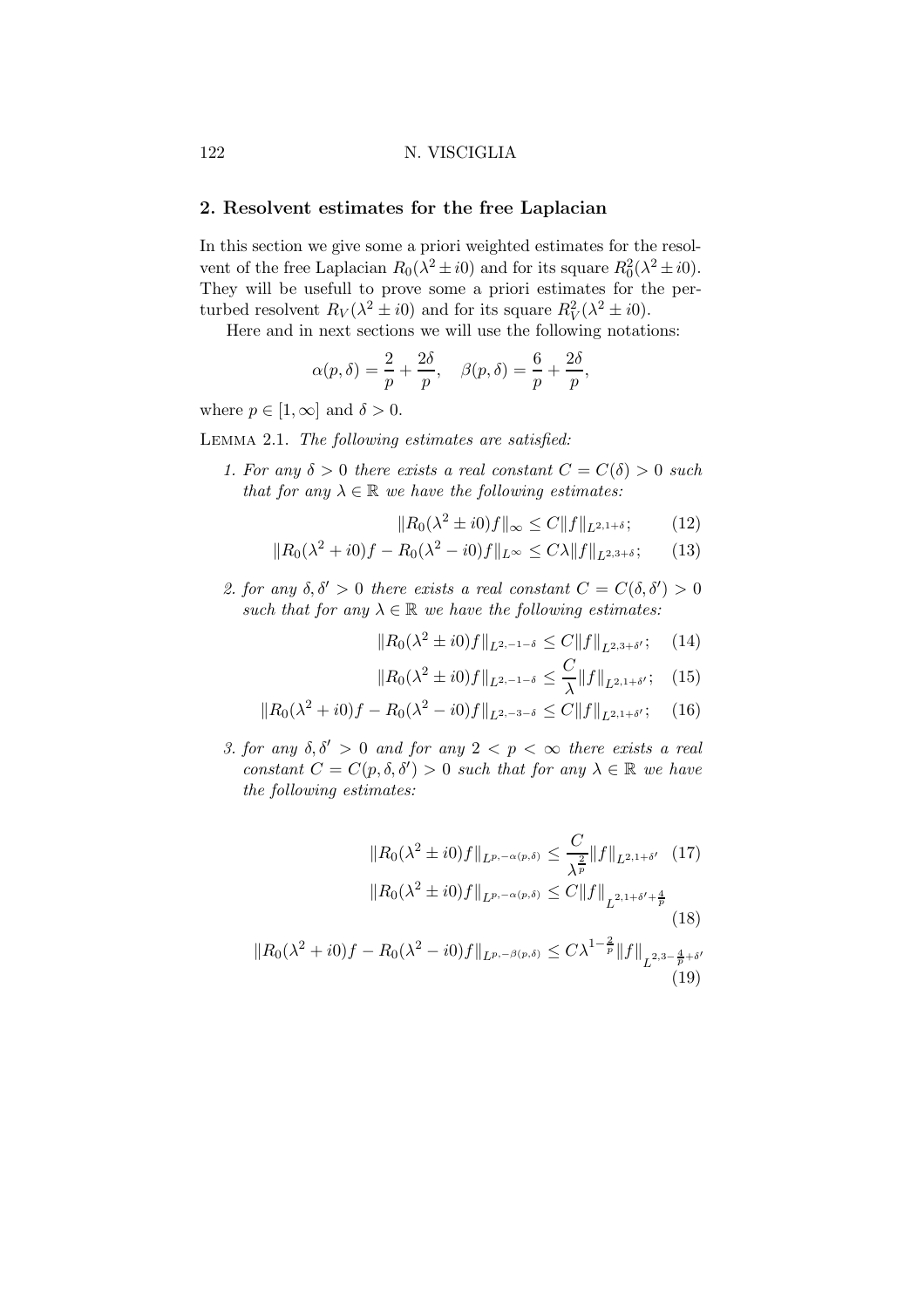# 2. Resolvent estimates for the free Laplacian

In this section we give some a priori weighted estimates for the resolvent of the free Laplacian  $R_0(\lambda^2 \pm i0)$  and for its square  $R_0^2(\lambda^2 \pm i0)$ . They will be usefull to prove some a priori estimates for the perturbed resolvent  $R_V(\lambda^2 \pm i0)$  and for its square  $R_V^2(\lambda^2 \pm i0)$ .

Here and in next sections we will use the following notations:

$$
\alpha(p,\delta) = \frac{2}{p} + \frac{2\delta}{p}, \quad \beta(p,\delta) = \frac{6}{p} + \frac{2\delta}{p},
$$

where  $p \in [1,\infty]$  and  $\delta > 0$ .

Lemma 2.1. The following estimates are satisfied:

1. For any  $\delta > 0$  there exists a real constant  $C = C(\delta) > 0$  such that for any  $\lambda \in \mathbb{R}$  we have the following estimates:

$$
||R_0(\lambda^2 \pm i0)f||_{\infty} \le C||f||_{L^{2,1+\delta}};
$$
 (12)

$$
||R_0(\lambda^2 + i0)f - R_0(\lambda^2 - i0)f||_{L^{\infty}} \le C\lambda ||f||_{L^{2,3+\delta}};
$$
 (13)

2. for any  $\delta, \delta' > 0$  there exists a real constant  $C = C(\delta, \delta') > 0$ such that for any  $\lambda \in \mathbb{R}$  we have the following estimates:

$$
||R_0(\lambda^2 \pm i0)f||_{L^{2,-1-\delta}} \leq C||f||_{L^{2,3+\delta'}}; \quad (14)
$$

$$
||R_0(\lambda^2 \pm i0)f||_{L^{2,-1-\delta}} \le \frac{C}{\lambda} ||f||_{L^{2,1+\delta'}}; \quad (15)
$$

 $\sim$ 

$$
||R_0(\lambda^2 + i0)f - R_0(\lambda^2 - i0)f||_{L^{2,-3-\delta}} \le C||f||_{L^{2,1+\delta'}}; \quad (16)
$$

3. for any  $\delta, \delta' > 0$  and for any  $2 < p < \infty$  there exists a real constant  $C = C(p, \delta, \delta') > 0$  such that for any  $\lambda \in \mathbb{R}$  we have the following estimates:

$$
||R_0(\lambda^2 \pm i0)f||_{L^{p,-\alpha(p,\delta)}} \leq \frac{C}{\lambda^{\frac{2}{p}}} ||f||_{L^{2,1+\delta'}} \quad (17)
$$
  

$$
||R_0(\lambda^2 \pm i0)f||_{L^{p,-\alpha(p,\delta)}} \leq C||f||_{L^{2,1+\delta'+\frac{4}{p}}} \quad (18)
$$
  

$$
||R_0(\lambda^2 + i0)f - R_0(\lambda^2 - i0)f||_{L^{p,-\beta(p,\delta)}} \leq C\lambda^{1-\frac{2}{p}}||f||_{L^{2,3-\frac{4}{p}+\delta'}}
$$
  
(19)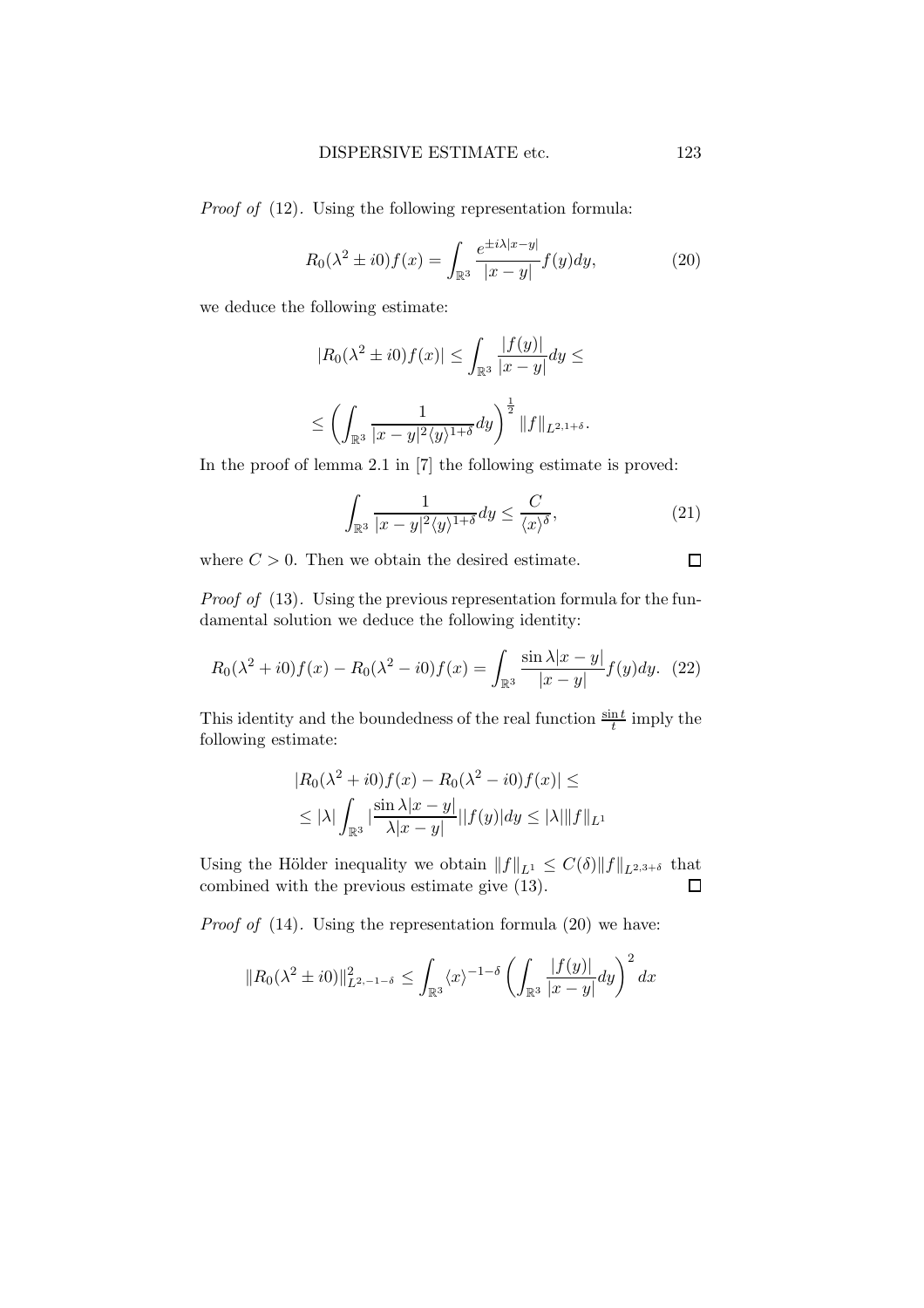Proof of (12). Using the following representation formula:

$$
R_0(\lambda^2 \pm i0)f(x) = \int_{\mathbb{R}^3} \frac{e^{\pm i\lambda|x-y|}}{|x-y|} f(y) dy,
$$
 (20)

we deduce the following estimate:

$$
|R_0(\lambda^2 \pm i0)f(x)| \le \int_{\mathbb{R}^3} \frac{|f(y)|}{|x-y|} dy \le
$$
  

$$
\le \left(\int_{\mathbb{R}^3} \frac{1}{|x-y|^2 \langle y \rangle^{1+\delta}} dy\right)^{\frac{1}{2}} \|f\|_{L^{2,1+\delta}}.
$$

In the proof of lemma 2.1 in [7] the following estimate is proved:

$$
\int_{\mathbb{R}^3} \frac{1}{|x-y|^2 \langle y \rangle^{1+\delta}} dy \le \frac{C}{\langle x \rangle^{\delta}},\tag{21}
$$

where  $C > 0$ . Then we obtain the desired estimate.

Proof of (13). Using the previous representation formula for the fundamental solution we deduce the following identity:

$$
R_0(\lambda^2 + i0)f(x) - R_0(\lambda^2 - i0)f(x) = \int_{\mathbb{R}^3} \frac{\sin \lambda |x - y|}{|x - y|} f(y) dy. \tag{22}
$$

This identity and the boundedness of the real function  $\frac{\sin t}{t}$  imply the following estimate:

$$
|R_0(\lambda^2 + i0)f(x) - R_0(\lambda^2 - i0)f(x)| \le
$$
  
 
$$
\leq |\lambda| \int_{\mathbb{R}^3} |\frac{\sin \lambda |x - y|}{\lambda |x - y|} ||f(y)|| dy \leq |\lambda| ||f||_{L^1}
$$

Using the Hölder inequality we obtain  $||f||_{L^1} \leq C(\delta) ||f||_{L^{2,3+\delta}}$  that combined with the previous estimate give (13). combined with the previous estimate give (13).

*Proof of*  $(14)$ . Using the representation formula  $(20)$  we have:

$$
||R_0(\lambda^2 \pm i0)||_{L^{2,-1-\delta}}^2 \leq \int_{\mathbb{R}^3} \langle x \rangle^{-1-\delta} \left( \int_{\mathbb{R}^3} \frac{|f(y)|}{|x-y|} dy \right)^2 dx
$$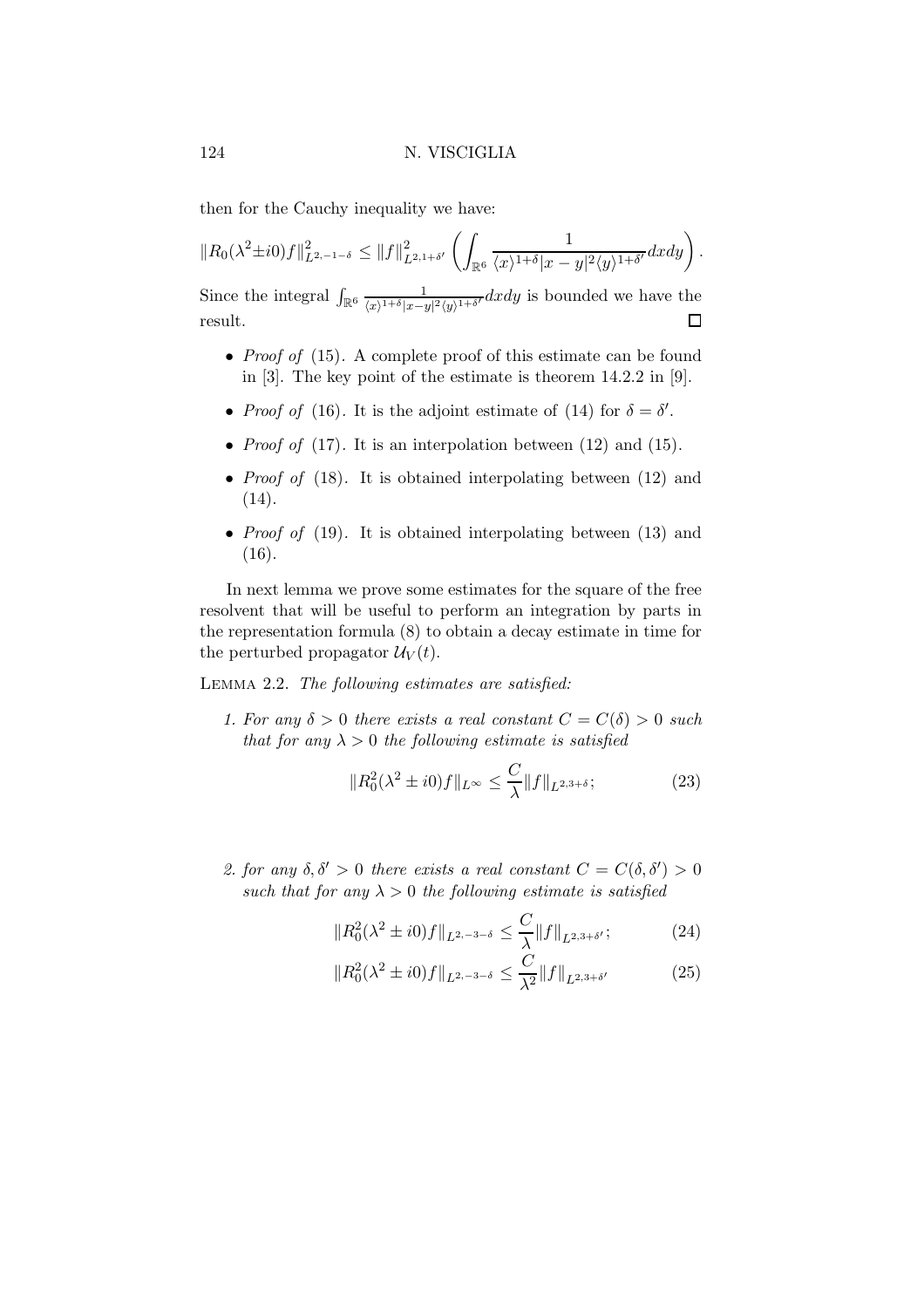then for the Cauchy inequality we have:

 $||R_0(\lambda^2 \pm i0)f||^2_{L^{2,-1-\delta}} \leq ||f||^2_{L^{2,1+\delta'}}$  $\left( \right)$  $\mathbb{R}^6$ 1  $\frac{1}{\langle x \rangle^{1+\delta} |x-y|^2 \langle y \rangle^{1+\delta'}} dx dy \bigg).$ Since the integral  $\int_{\mathbb{R}^6} \frac{1}{(r+1+\delta)x-1}$  $\frac{1}{\langle x\rangle^{1+\delta}|x-y|^2\langle y\rangle^{1+\delta'}}dxdy$  is bounded we have the

• *Proof of* (15). A complete proof of this estimate can be found in [3]. The key point of the estimate is theorem 14.2.2 in [9].

 $\Box$ 

- *Proof of* (16). It is the adjoint estimate of (14) for  $\delta = \delta'$ .
- *Proof of* (17). It is an interpolation between (12) and (15).
- *Proof of*  $(18)$ . It is obtained interpolating between  $(12)$  and (14).
- *Proof of* (19). It is obtained interpolating between (13) and  $(16).$

In next lemma we prove some estimates for the square of the free resolvent that will be useful to perform an integration by parts in the representation formula (8) to obtain a decay estimate in time for the perturbed propagator  $\mathcal{U}_V(t)$ .

Lemma 2.2. The following estimates are satisfied:

1. For any  $\delta > 0$  there exists a real constant  $C = C(\delta) > 0$  such that for any  $\lambda > 0$  the following estimate is satisfied

$$
||R_0^2(\lambda^2 \pm i0)f||_{L^{\infty}} \le \frac{C}{\lambda} ||f||_{L^{2,3+\delta}};
$$
\n(23)

2. for any  $\delta, \delta' > 0$  there exists a real constant  $C = C(\delta, \delta') > 0$ such that for any  $\lambda > 0$  the following estimate is satisfied

$$
||R_0^2(\lambda^2 \pm i0)f||_{L^{2,-3-\delta}} \le \frac{C}{\lambda} ||f||_{L^{2,3+\delta'}};
$$
 (24)

$$
||R_0^2(\lambda^2 \pm i0)f||_{L^{2,-3-\delta}} \le \frac{C}{\lambda^2} ||f||_{L^{2,3+\delta'}}
$$
 (25)

result.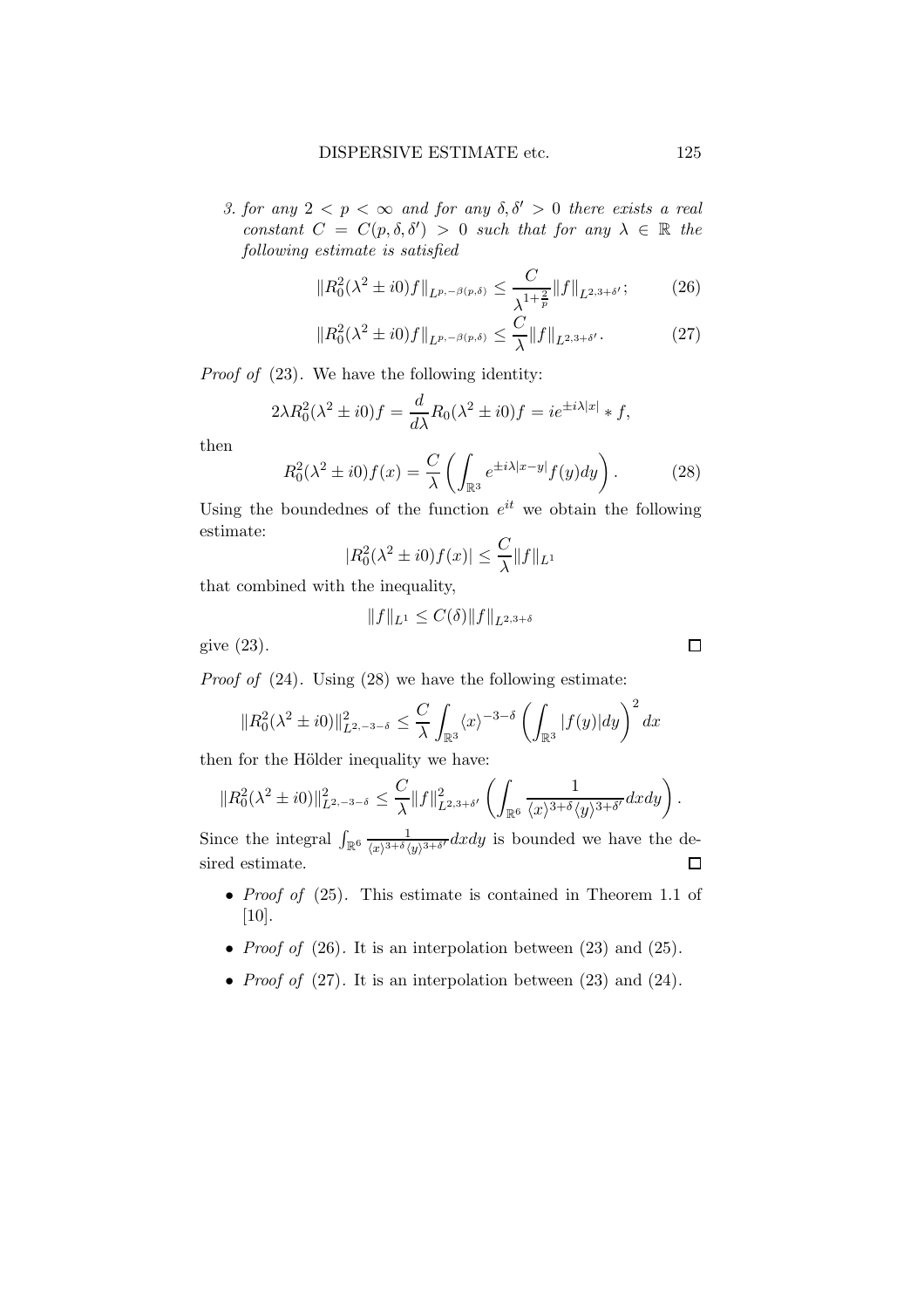3. for any  $2 < p < \infty$  and for any  $\delta, \delta' > 0$  there exists a real constant  $C = C(p, \delta, \delta') > 0$  such that for any  $\lambda \in \mathbb{R}$  the following estimate is satisfied

$$
||R_0^2(\lambda^2 \pm i0)f||_{L^{p,-\beta(p,\delta)}} \le \frac{C}{\lambda^{1+\frac{2}{p}}} ||f||_{L^{2,3+\delta'}};
$$
 (26)

$$
||R_0^2(\lambda^2 \pm i0)f||_{L^{p,-\beta(p,\delta)}} \le \frac{C}{\lambda} ||f||_{L^{2,3+\delta'}}.
$$
 (27)

Proof of (23). We have the following identity:

$$
2\lambda R_0^2(\lambda^2 \pm i0)f = \frac{d}{d\lambda}R_0(\lambda^2 \pm i0)f = ie^{\pm i\lambda|x|} * f,
$$

then

$$
R_0^2(\lambda^2 \pm i0)f(x) = \frac{C}{\lambda} \left( \int_{\mathbb{R}^3} e^{\pm i\lambda |x-y|} f(y) dy \right). \tag{28}
$$

Using the boundednes of the function  $e^{it}$  we obtain the following estimate:

$$
|R_0^2(\lambda^2 \pm i0)f(x)| \le \frac{C}{\lambda} ||f||_{L^1}
$$

that combined with the inequality,

$$
||f||_{L^1} \le C(\delta) ||f||_{L^{2,3+\delta}}
$$

give (23).

Proof of (24). Using (28) we have the following estimate:

$$
||R_0^2(\lambda^2 \pm i0)||_{L^{2,-3-\delta}}^2 \leq \frac{C}{\lambda} \int_{\mathbb{R}^3} \langle x \rangle^{-3-\delta} \left( \int_{\mathbb{R}^3} |f(y)| dy \right)^2 dx
$$

then for the Hölder inequality we have:

$$
||R_0^2(\lambda^2 \pm i0)||_{L^{2,-3-\delta}}^2 \leq \frac{C}{\lambda} ||f||_{L^{2,3+\delta'}}^2 \left( \int_{\mathbb{R}^6} \frac{1}{\langle x \rangle^{3+\delta} \langle y \rangle^{3+\delta'}} dx dy \right).
$$

Since the integral  $\int_{\mathbb{R}^6} \frac{1}{\sqrt{x^{3+\delta}}}$  $\frac{1}{\langle x\rangle^{3+\delta}\langle y\rangle^{3+\delta'}}dxdy$  is bounded we have the desired estimate.  $\Box$ 

- *Proof of* (25). This estimate is contained in Theorem 1.1 of [10].
- *Proof of* (26). It is an interpolation between (23) and (25).
- *Proof of*  $(27)$ . It is an interpolation between  $(23)$  and  $(24)$ .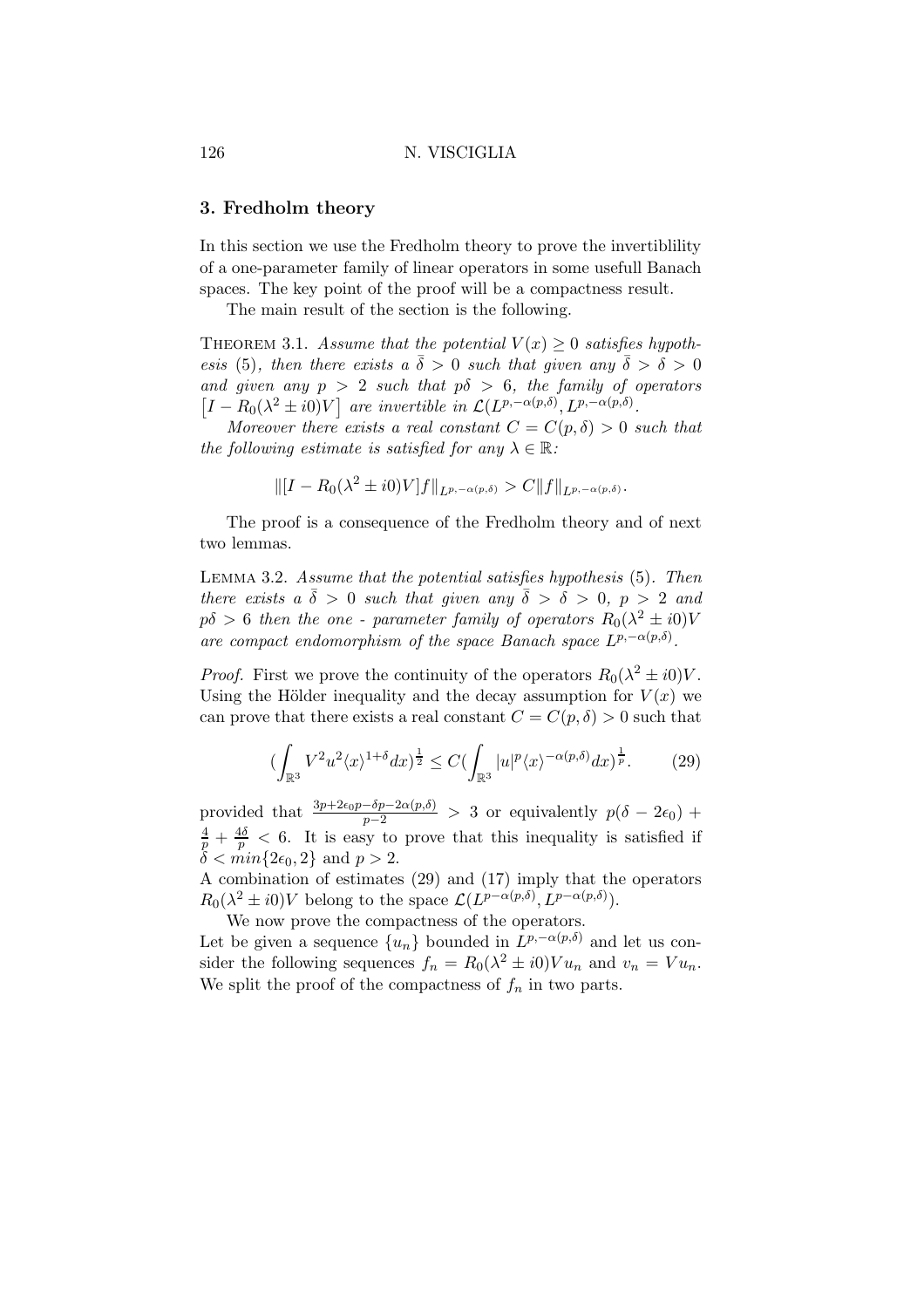## 3. Fredholm theory

In this section we use the Fredholm theory to prove the invertiblility of a one-parameter family of linear operators in some usefull Banach spaces. The key point of the proof will be a compactness result.

The main result of the section is the following.

THEOREM 3.1. Assume that the potential  $V(x) \geq 0$  satisfies hypothesis (5), then there exists a  $\bar{\delta} > 0$  such that given any  $\bar{\delta} > \delta > 0$ and given any  $p > 2$  such that  $p\delta > 6$ , the family of operators  $[I - R_0(\lambda^2 \pm i0)V]$  are invertible in  $\mathcal{L}(L^{p,-\alpha(p,\delta)}, L^{p,-\alpha(p,\delta)}).$ 

Moreover there exists a real constant  $C = C(p, \delta) > 0$  such that the following estimate is satisfied for any  $\lambda \in \mathbb{R}$ :

$$
\| [I - R_0(\lambda^2 \pm i0)V] f \|_{L^{p,-\alpha(p,\delta)}} > C \| f \|_{L^{p,-\alpha(p,\delta)}}.
$$

The proof is a consequence of the Fredholm theory and of next two lemmas.

Lemma 3.2. Assume that the potential satisfies hypothesis (5). Then there exists a  $\bar{\delta} > 0$  such that given any  $\bar{\delta} > \delta > 0$ ,  $p > 2$  and  $p\delta > 6$  then the one - parameter family of operators  $R_0(\lambda^2 \pm i0)V$ are compact endomorphism of the space Banach space  $L^{p,-\alpha(p,\delta)}$ .

*Proof.* First we prove the continuity of the operators  $R_0(\lambda^2 \pm i0)V$ . Using the Hölder inequality and the decay assumption for  $V(x)$  we can prove that there exists a real constant  $C = C(p,\delta) > 0$  such that

$$
\left(\int_{\mathbb{R}^3} V^2 u^2 \langle x \rangle^{1+\delta} dx\right)^{\frac{1}{2}} \le C \left(\int_{\mathbb{R}^3} |u|^p \langle x \rangle^{-\alpha(p,\delta)} dx\right)^{\frac{1}{p}}.
$$
 (29)

provided that  $\frac{3p+2\varepsilon_0p-\delta p-2\alpha(p,\delta)}{p-2} > 3$  or equivalently  $p(\delta - 2\varepsilon_0) + \frac{4}{p} + \frac{4\delta}{p} < 6$ . It is easy to prove that this inequality is satisfied if  $\delta < min\{2\epsilon_0, 2\}$  and  $p > 2$ .

A combination of estimates (29) and (17) imply that the operators  $R_0(\lambda^2 \pm i0)V$  belong to the space  $\mathcal{L}(L^{p-\alpha(p,\delta)}, L^{p-\alpha(p,\delta)}).$ 

We now prove the compactness of the operators.

Let be given a sequence  $\{u_n\}$  bounded in  $L^{p,-\alpha(p,\delta)}$  and let us consider the following sequences  $f_n = R_0(\lambda^2 \pm i0)V u_n$  and  $v_n = Vu_n$ . We split the proof of the compactness of  $f_n$  in two parts.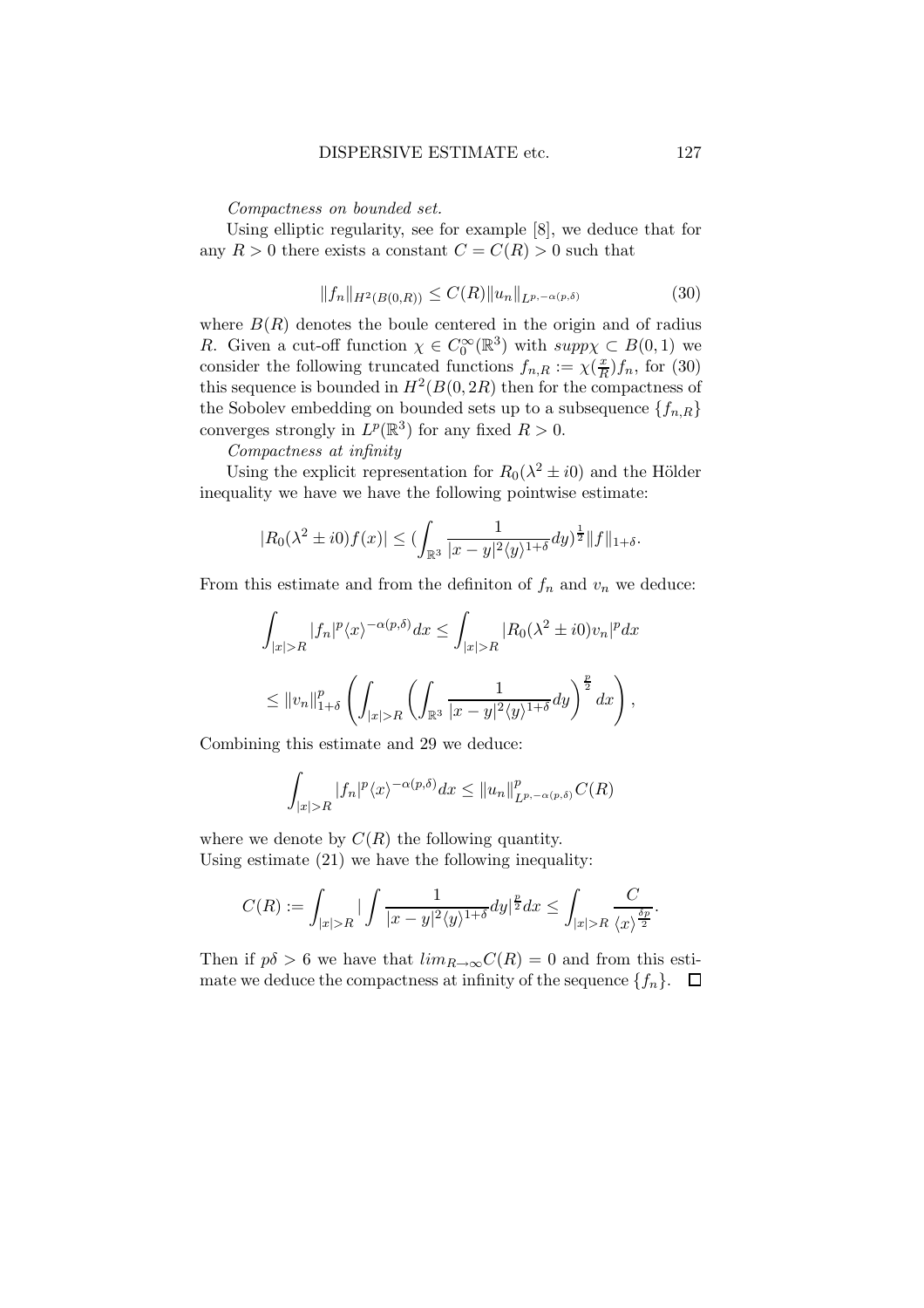Compactness on bounded set.

Using elliptic regularity, see for example [8], we deduce that for any  $R > 0$  there exists a constant  $C = C(R) > 0$  such that

$$
||f_n||_{H^2(B(0,R))} \le C(R)||u_n||_{L^{p,-\alpha(p,\delta)}}\tag{30}
$$

where  $B(R)$  denotes the boule centered in the origin and of radius R. Given a cut-off function  $\chi \in C_0^{\infty}(\mathbb{R}^3)$  with  $supp\chi \subset B(0,1)$  we consider the following truncated functions  $f_{n,R} := \chi(\frac{x}{R})$  $\frac{x}{R}$ f<sub>n</sub>, for (30) this sequence is bounded in  $H^2(B(0, 2R))$  then for the compactness of the Sobolev embedding on bounded sets up to a subsequence  $\{f_{n,R}\}$ converges strongly in  $L^p(\mathbb{R}^3)$  for any fixed  $R > 0$ .

Compactness at infinity

Using the explicit representation for  $R_0(\lambda^2 \pm i0)$  and the Hölder inequality we have we have the following pointwise estimate:

$$
|R_0(\lambda^2 \pm i0)f(x)| \le (\int_{\mathbb{R}^3} \frac{1}{|x-y|^2 \langle y \rangle^{1+\delta}} dy)^{\frac{1}{2}} \|f\|_{1+\delta}.
$$

From this estimate and from the definiton of  $f_n$  and  $v_n$  we deduce:

$$
\int_{|x|>R} |f_n|^p \langle x \rangle^{-\alpha(p,\delta)} dx \le \int_{|x|>R} |R_0(\lambda^2 \pm i0)v_n|^p dx
$$
  

$$
\le ||v_n||_{1+\delta}^p \left( \int_{|x|>R} \left( \int_{\mathbb{R}^3} \frac{1}{|x-y|^2 \langle y \rangle^{1+\delta}} dy \right)^{\frac{p}{2}} dx \right),
$$

Combining this estimate and 29 we deduce:

$$
\int_{|x|>R} |f_n|^p \langle x \rangle^{-\alpha(p,\delta)} dx \le ||u_n||_{L^{p,-\alpha(p,\delta)}}^p C(R)
$$

where we denote by  $C(R)$  the following quantity. Using estimate (21) we have the following inequality:

$$
C(R) := \int_{|x|>R} \left| \int \frac{1}{|x-y|^2 \langle y \rangle^{1+\delta}} dy \right|^{\frac{p}{2}} dx \le \int_{|x|>R} \frac{C}{\langle x \rangle^{\frac{\delta p}{2}}}.
$$

Then if  $p\delta > 6$  we have that  $\lim_{R\to\infty} C(R) = 0$  and from this estimate we deduce the compactness at infinity of the sequence  $\{f_n\}$ .  $\Box$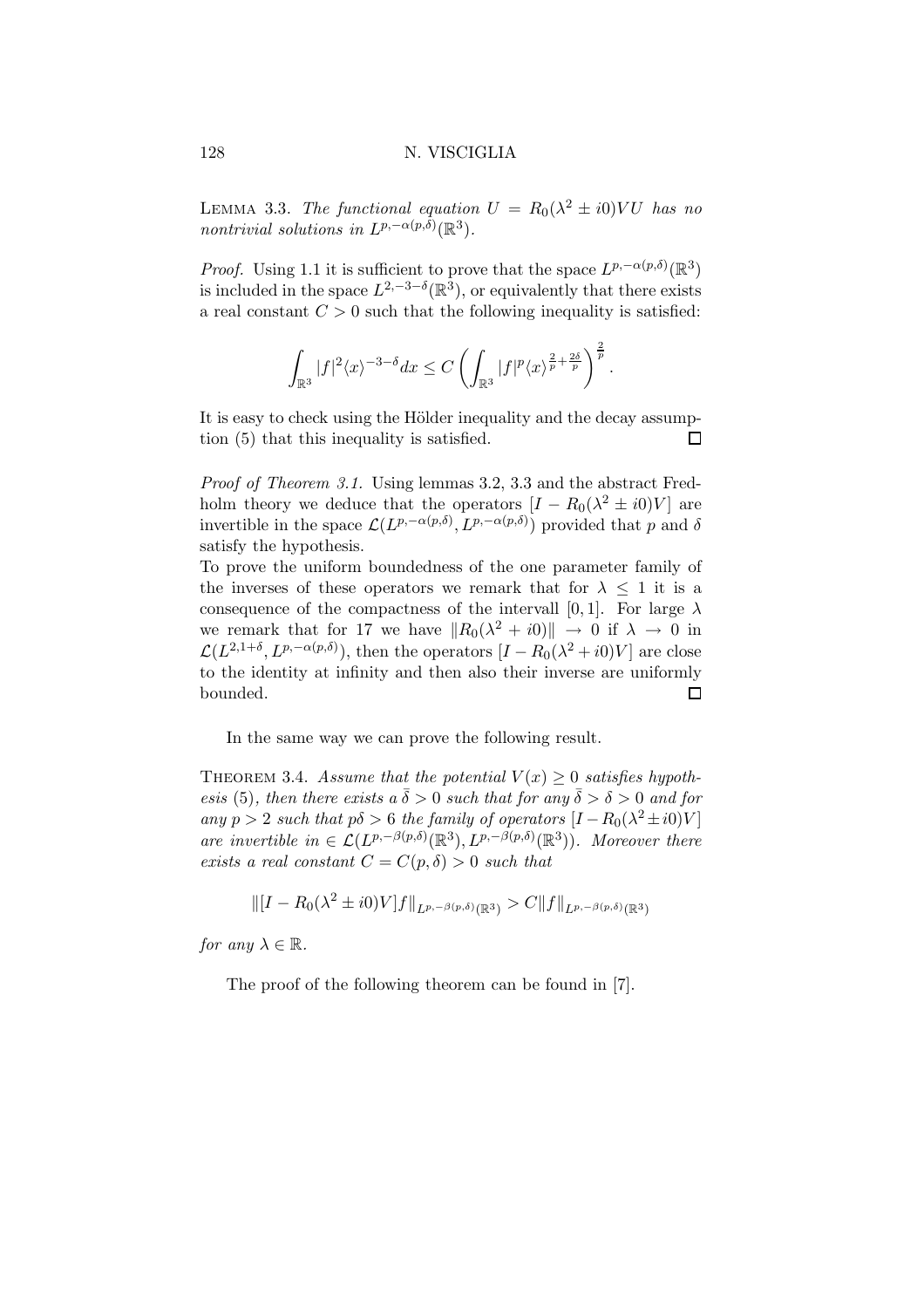LEMMA 3.3. The functional equation  $U = R_0(\lambda^2 \pm i0) VU$  has no nontrivial solutions in  $L^{p,-\alpha(p,\delta)}(\mathbb{R}^3)$ .

*Proof.* Using 1.1 it is sufficient to prove that the space  $L^{p,-\alpha(p,\delta)}(\mathbb{R}^3)$ is included in the space  $L^{2,-3-\delta}(\mathbb{R}^3)$ , or equivalently that there exists a real constant  $C > 0$  such that the following inequality is satisfied:

$$
\int_{\mathbb{R}^3} |f|^2 \langle x \rangle^{-3-\delta} dx \leq C \left( \int_{\mathbb{R}^3} |f|^p \langle x \rangle^{\frac{2}{p}+\frac{2\delta}{p}} \right)^{\frac{2}{p}}.
$$

It is easy to check using the Hölder inequality and the decay assumption (5) that this inequality is satisfied. П

Proof of Theorem 3.1. Using lemmas 3.2, 3.3 and the abstract Fredholm theory we deduce that the operators  $[I - R_0(\lambda^2 \pm i0)V]$  are invertible in the space  $\mathcal{L}(L^{p,-\alpha(p,\delta)}, L^{p,-\alpha(p,\delta)})$  provided that p and  $\delta$ satisfy the hypothesis.

To prove the uniform boundedness of the one parameter family of the inverses of these operators we remark that for  $\lambda \leq 1$  it is a consequence of the compactness of the intervall [0, 1]. For large  $\lambda$ we remark that for 17 we have  $||R_0(\lambda^2 + i0)|| \rightarrow 0$  if  $\lambda \rightarrow 0$  in  $\mathcal{L}(L^{2,1+\delta}, L^{p,-\alpha(p,\delta)}),$  then the operators  $[I - R_0(\lambda^2 + i0)V]$  are close to the identity at infinity and then also their inverse are uniformly bounded.  $\Box$ 

In the same way we can prove the following result.

THEOREM 3.4. Assume that the potential  $V(x) \geq 0$  satisfies hypothesis (5), then there exists a  $\bar{\delta} > 0$  such that for any  $\bar{\delta} > \delta > 0$  and for any p > 2 such that  $p\delta > 6$  the family of operators  $[I - R_0(\lambda^2 \pm i0)V]$ are invertible in  $\in \mathcal{L}(L^{p,-\beta(p,\delta)}(\mathbb{R}^3), L^{p,-\beta(p,\delta)}(\mathbb{R}^3)).$  Moreover there exists a real constant  $C = C(p, \delta) > 0$  such that

$$
\| [I - R_0(\lambda^2 \pm i0)V] f \|_{L^{p,-\beta(p,\delta)}(\mathbb{R}^3)} > C \| f \|_{L^{p,-\beta(p,\delta)}(\mathbb{R}^3)}
$$

for any  $\lambda \in \mathbb{R}$ .

The proof of the following theorem can be found in [7].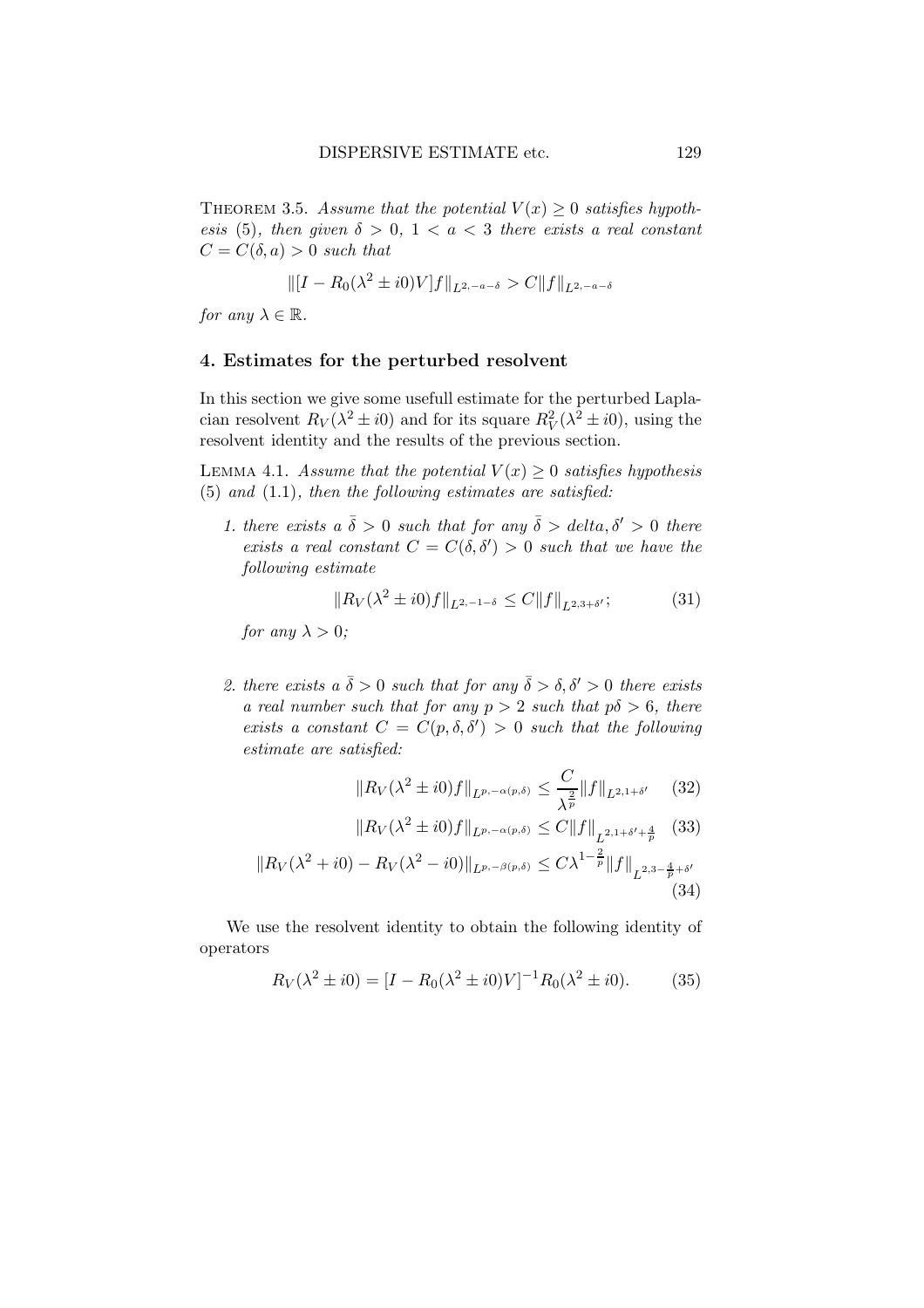THEOREM 3.5. Assume that the potential  $V(x) \geq 0$  satisfies hypothesis (5), then given  $\delta > 0$ ,  $1 < a < 3$  there exists a real constant  $C = C(\delta, a) > 0$  such that

$$
\| [I - R_0(\lambda^2 \pm i0)V] f \|_{L^{2, -a-\delta}} > C \| f \|_{L^{2, -a-\delta}}
$$

for any  $\lambda \in \mathbb{R}$ .

#### 4. Estimates for the perturbed resolvent

In this section we give some usefull estimate for the perturbed Laplacian resolvent  $R_V(\lambda^2 \pm i0)$  and for its square  $R_V^2(\lambda^2 \pm i0)$ , using the resolvent identity and the results of the previous section.

LEMMA 4.1. Assume that the potential  $V(x) \geq 0$  satisfies hypothesis  $(5)$  and  $(1.1)$ , then the following estimates are satisfied:

1. there exists a  $\bar{\delta} > 0$  such that for any  $\bar{\delta} >$  delta,  $\delta' > 0$  there exists a real constant  $C = C(\delta, \delta') > 0$  such that we have the following estimate

$$
||R_V(\lambda^2 \pm i0)f||_{L^{2,-1-\delta}} \le C||f||_{L^{2,3+\delta'}};
$$
 (31)

for any  $\lambda > 0$ ;

2. there exists a  $\bar{\delta} > 0$  such that for any  $\bar{\delta} > \delta, \delta' > 0$  there exists a real number such that for any  $p > 2$  such that  $p\delta > 6$ , there exists a constant  $C = C(p, \delta, \delta') > 0$  such that the following estimate are satisfied:

$$
||R_V(\lambda^2 \pm i0)f||_{L^{p,-\alpha(p,\delta)}} \leq \frac{C}{\lambda^{\frac{2}{p}}} ||f||_{L^{2,1+\delta'}} \quad (32)
$$

$$
||R_V(\lambda^2 \pm i0)f||_{L^{p,-\alpha(p,\delta)}} \le C||f||_{L^{2,1+\delta'+\frac{4}{p}}} \tag{33}
$$

$$
||R_V(\lambda^2 + i0) - R_V(\lambda^2 - i0)||_{L^{p,-\beta(p,\delta)}} \le C\lambda^{1-\frac{2}{p}}||f||_{L^{2,3-\frac{4}{p}+\delta'}} \tag{34}
$$

We use the resolvent identity to obtain the following identity of operators

$$
R_V(\lambda^2 \pm i0) = [I - R_0(\lambda^2 \pm i0)V]^{-1}R_0(\lambda^2 \pm i0). \tag{35}
$$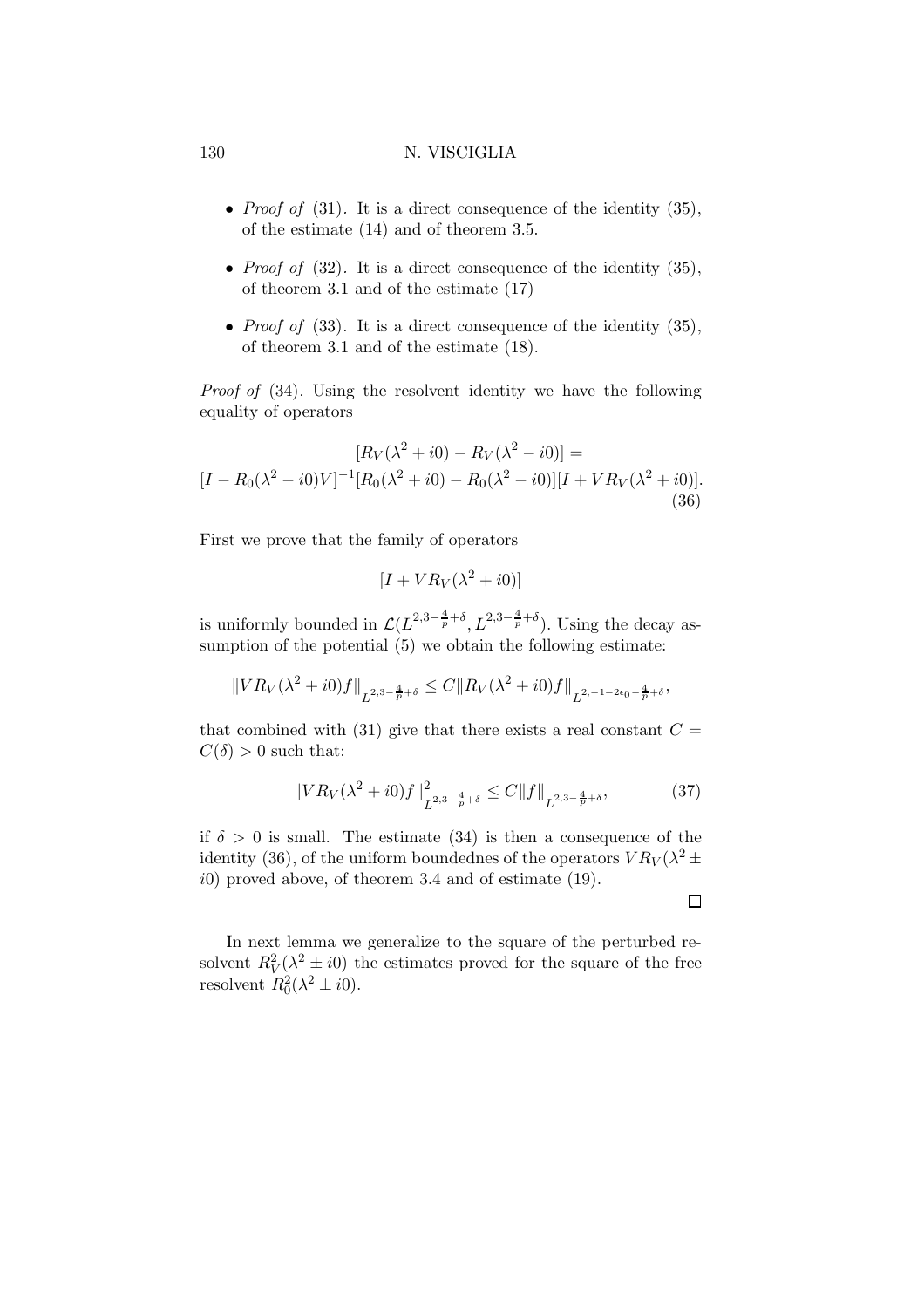- *Proof of* (31). It is a direct consequence of the identity  $(35)$ , of the estimate (14) and of theorem 3.5.
- *Proof of*  $(32)$ . It is a direct consequence of the identity  $(35)$ , of theorem 3.1 and of the estimate (17)
- Proof of  $(33)$ . It is a direct consequence of the identity  $(35)$ , of theorem 3.1 and of the estimate (18).

Proof of (34). Using the resolvent identity we have the following equality of operators

$$
[R_V(\lambda^2 + i0) - R_V(\lambda^2 - i0)] =
$$
  
[ $I - R_0(\lambda^2 - i0)V$ ]<sup>-1</sup>[ $R_0(\lambda^2 + i0) - R_0(\lambda^2 - i0)$ ][ $I + VR_V(\lambda^2 + i0)$ ]. (36)

First we prove that the family of operators

$$
[I + VR_V(\lambda^2 + i0)]
$$

is uniformly bounded in  $\mathcal{L}(L^{2,3-\frac{4}{p}+\delta}, L^{2,3-\frac{4}{p}+\delta})$ . Using the decay assumption of the potential  $(5)$  we obtain the following estimate:

$$
||VR_V(\lambda^2 + i0)f||_{L^{2,3-\frac{4}{p}+\delta}} \leq C||R_V(\lambda^2 + i0)f||_{L^{2,-1-2\epsilon_0-\frac{4}{p}+\delta}},
$$

that combined with (31) give that there exists a real constant  $C =$  $C(\delta) > 0$  such that:

$$
||VR_V(\lambda^2 + i0)f||^2_{L^{2,3-\frac{4}{p}+\delta}} \le C||f||_{L^{2,3-\frac{4}{p}+\delta}},\tag{37}
$$

if  $\delta > 0$  is small. The estimate (34) is then a consequence of the identity (36), of the uniform boundednes of the operators  $VR_V(\lambda^2 \pm$  $i0$ ) proved above, of theorem 3.4 and of estimate (19).

 $\Box$ 

In next lemma we generalize to the square of the perturbed resolvent  $R_V^2(\lambda^2 \pm i0)$  the estimates proved for the square of the free resolvent  $R_0^2(\lambda^2 \pm i0)$ .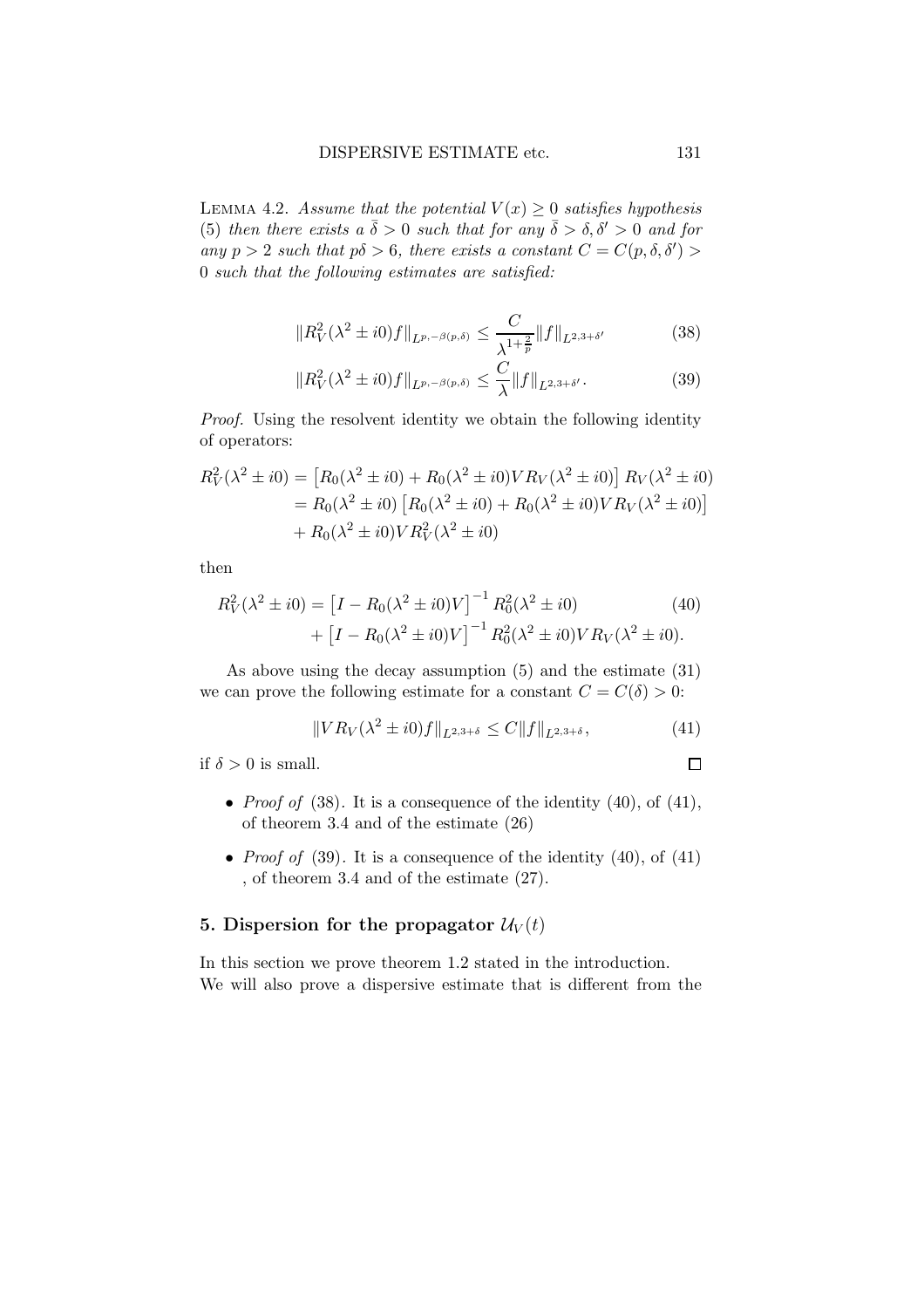LEMMA 4.2. Assume that the potential  $V(x) \geq 0$  satisfies hypothesis (5) then there exists a  $\bar{\delta} > 0$  such that for any  $\bar{\delta} > \delta, \delta' > 0$  and for any  $p > 2$  such that  $p\delta > 6$ , there exists a constant  $C = C(p, \delta, \delta') > 0$ 0 such that the following estimates are satisfied:

$$
||R_V^2(\lambda^2 \pm i0)f||_{L^{p,-\beta(p,\delta)}} \le \frac{C}{\lambda^{1+\frac{2}{p}}} ||f||_{L^{2,3+\delta'}}
$$
(38)

$$
||R_V^2(\lambda^2 \pm i0)f||_{L^{p,-\beta(p,\delta)}} \le \frac{C}{\lambda} ||f||_{L^{2,3+\delta'}}.
$$
 (39)

Proof. Using the resolvent identity we obtain the following identity of operators:

$$
R_V^2(\lambda^2 \pm i0) = [R_0(\lambda^2 \pm i0) + R_0(\lambda^2 \pm i0)VR_V(\lambda^2 \pm i0)]R_V(\lambda^2 \pm i0)
$$
  
=  $R_0(\lambda^2 \pm i0) [R_0(\lambda^2 \pm i0) + R_0(\lambda^2 \pm i0)VR_V(\lambda^2 \pm i0)]$   
+  $R_0(\lambda^2 \pm i0)VR_V^2(\lambda^2 \pm i0)$ 

then

$$
R_V^2(\lambda^2 \pm i0) = [I - R_0(\lambda^2 \pm i0)V]^{-1} R_0^2(\lambda^2 \pm i0)
$$
\n
$$
+ [I - R_0(\lambda^2 \pm i0)V]^{-1} R_0^2(\lambda^2 \pm i0)V R_V(\lambda^2 \pm i0).
$$
\n(40)

As above using the decay assumption (5) and the estimate (31) we can prove the following estimate for a constant  $C = C(\delta) > 0$ :

$$
||VR_V(\lambda^2 \pm i0)f||_{L^{2,3+\delta}} \le C||f||_{L^{2,3+\delta}},\tag{41}
$$

if  $\delta > 0$  is small.

- *Proof of* (38). It is a consequence of the identity  $(40)$ , of  $(41)$ , of theorem 3.4 and of the estimate (26)
- *Proof of* (39). It is a consequence of the identity  $(40)$ , of  $(41)$ , of theorem 3.4 and of the estimate (27).

# 5. Dispersion for the propagator  $\mathcal{U}_V(t)$

In this section we prove theorem 1.2 stated in the introduction. We will also prove a dispersive estimate that is different from the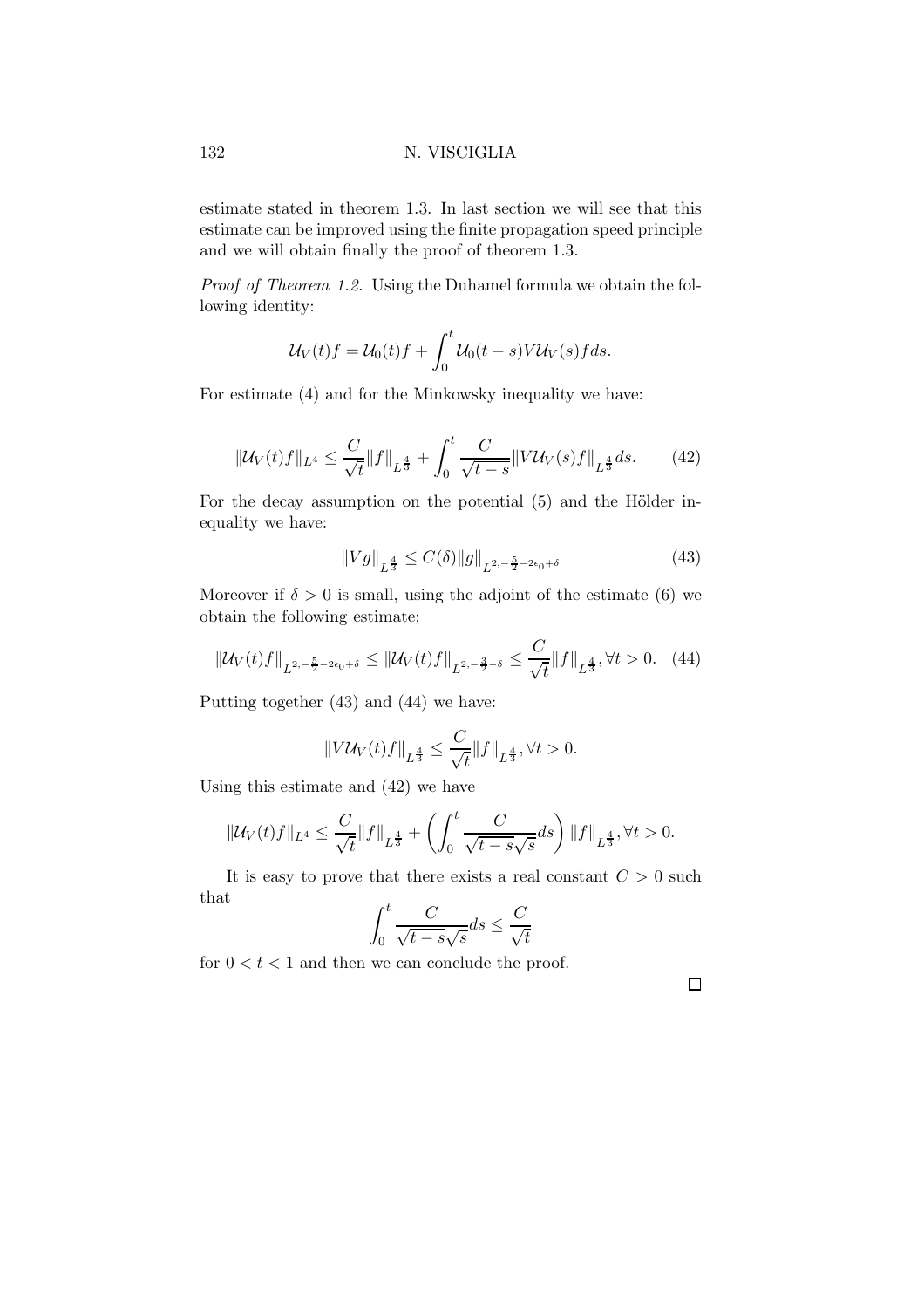estimate stated in theorem 1.3. In last section we will see that this estimate can be improved using the finite propagation speed principle and we will obtain finally the proof of theorem 1.3.

Proof of Theorem 1.2. Using the Duhamel formula we obtain the following identity:

$$
U_V(t)f = U_0(t)f + \int_0^t U_0(t-s)VU_V(s)f ds.
$$

For estimate (4) and for the Minkowsky inequality we have:

$$
\|U_V(t)f\|_{L^4} \le \frac{C}{\sqrt{t}}\|f\|_{L^{\frac{4}{3}}} + \int_0^t \frac{C}{\sqrt{t-s}}\|V\mathcal{U}_V(s)f\|_{L^{\frac{4}{3}}}ds. \tag{42}
$$

For the decay assumption on the potential  $(5)$  and the Hölder inequality we have:

$$
||Vg||_{L^{\frac{4}{3}}} \leq C(\delta) ||g||_{L^{2,-\frac{5}{2}-2\epsilon_0+\delta}} \tag{43}
$$

Moreover if  $\delta > 0$  is small, using the adjoint of the estimate (6) we obtain the following estimate:

$$
\|\mathcal{U}_V(t)f\|_{L^{2,-\frac{5}{2}-2\epsilon_0+\delta}} \le \|\mathcal{U}_V(t)f\|_{L^{2,-\frac{3}{2}-\delta}} \le \frac{C}{\sqrt{t}}\|f\|_{L^{\frac{4}{3}}}, \forall t > 0. \quad (44)
$$

Putting together (43) and (44) we have:

$$
||V\mathcal{U}_V(t)f||_{L^{\frac{4}{3}}} \leq \frac{C}{\sqrt{t}}||f||_{L^{\frac{4}{3}}}, \forall t > 0.
$$

Using this estimate and (42) we have

$$
\|\mathcal{U}_V(t)f\|_{L^4} \le \frac{C}{\sqrt{t}} \|f\|_{L^{\frac{4}{3}}} + \left(\int_0^t \frac{C}{\sqrt{t-s}\sqrt{s}} ds\right) \|f\|_{L^{\frac{4}{3}}}, \forall t > 0.
$$

It is easy to prove that there exists a real constant  $C > 0$  such that

$$
\int_0^t \frac{C}{\sqrt{t-s}\sqrt{s}}ds \le \frac{C}{\sqrt{t}}
$$

for  $0 < t < 1$  and then we can conclude the proof.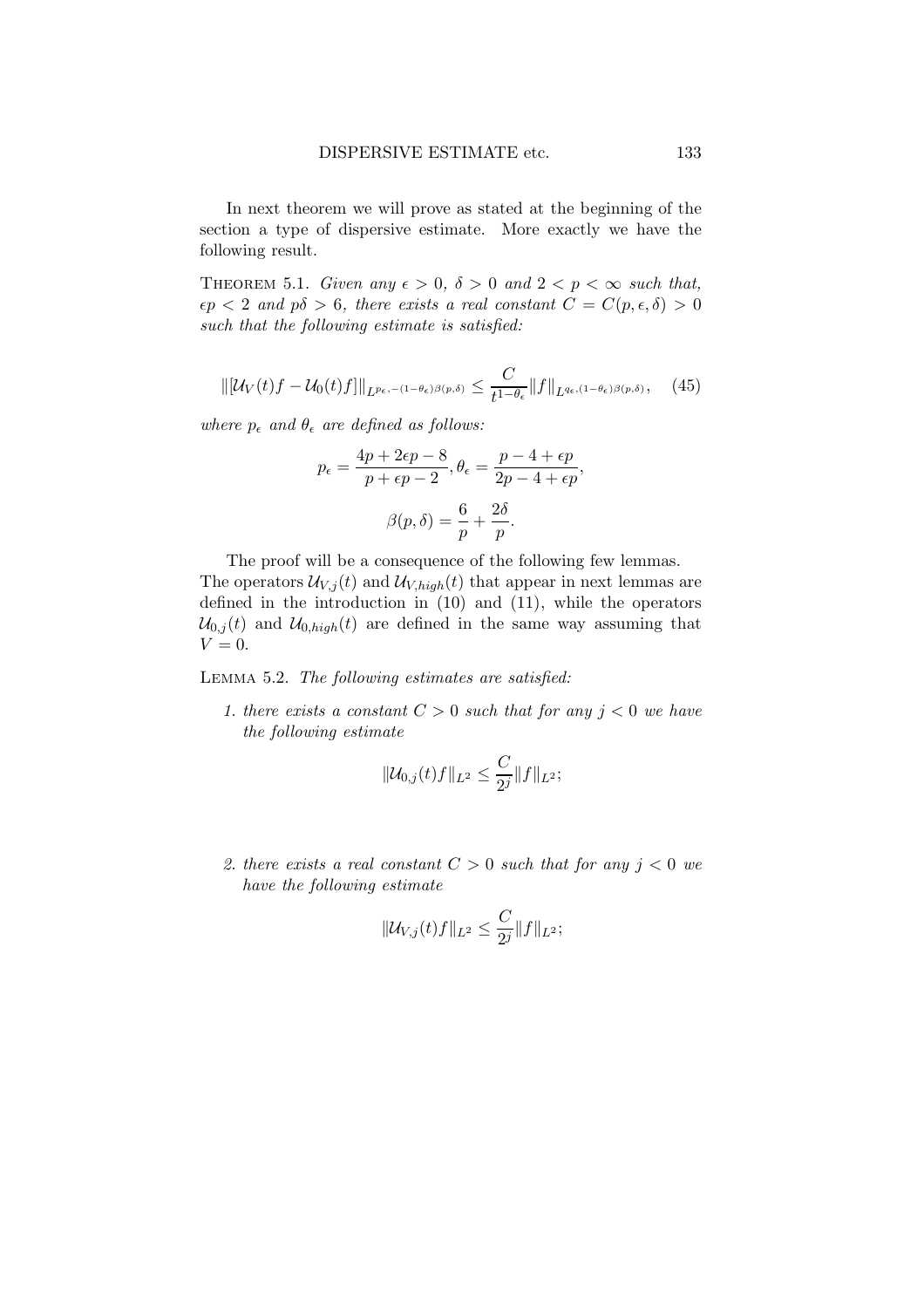In next theorem we will prove as stated at the beginning of the section a type of dispersive estimate. More exactly we have the following result.

THEOREM 5.1. Given any  $\epsilon > 0$ ,  $\delta > 0$  and  $2 < p < \infty$  such that,  $\epsilon p < 2$  and  $p\delta > 6$ , there exists a real constant  $C = C(p, \epsilon, \delta) > 0$ such that the following estimate is satisfied:

$$
\|\left[\mathcal{U}_V(t)f - \mathcal{U}_0(t)f\right]\|_{L^{p_\epsilon,-(1-\theta_\epsilon)\beta(p,\delta)}} \leq \frac{C}{t^{1-\theta_\epsilon}}\|f\|_{L^{q_\epsilon,(1-\theta_\epsilon)\beta(p,\delta)}},\quad(45)
$$

where  $p_{\epsilon}$  and  $\theta_{\epsilon}$  are defined as follows:

$$
p_{\epsilon} = \frac{4p + 2\epsilon p - 8}{p + \epsilon p - 2}, \theta_{\epsilon} = \frac{p - 4 + \epsilon p}{2p - 4 + \epsilon p},
$$

$$
\beta(p, \delta) = \frac{6}{p} + \frac{2\delta}{p}.
$$

The proof will be a consequence of the following few lemmas.

The operators  $\mathcal{U}_{V,j}(t)$  and  $\mathcal{U}_{V,high}(t)$  that appear in next lemmas are defined in the introduction in (10) and (11), while the operators  $\mathcal{U}_{0,j}(t)$  and  $\mathcal{U}_{0,high}(t)$  are defined in the same way assuming that  $V = 0.$ 

Lemma 5.2. The following estimates are satisfied:

1. there exists a constant  $C > 0$  such that for any  $j < 0$  we have the following estimate

$$
\|\mathcal{U}_{0,j}(t)f\|_{L^2}\leq \frac{C}{2^j}\|f\|_{L^2};
$$

2. there exists a real constant  $C > 0$  such that for any  $j < 0$  we have the following estimate

$$
\|{\mathcal U}_{V,j}(t)f\|_{L^2}\leq \frac{C}{2^j}\|f\|_{L^2};
$$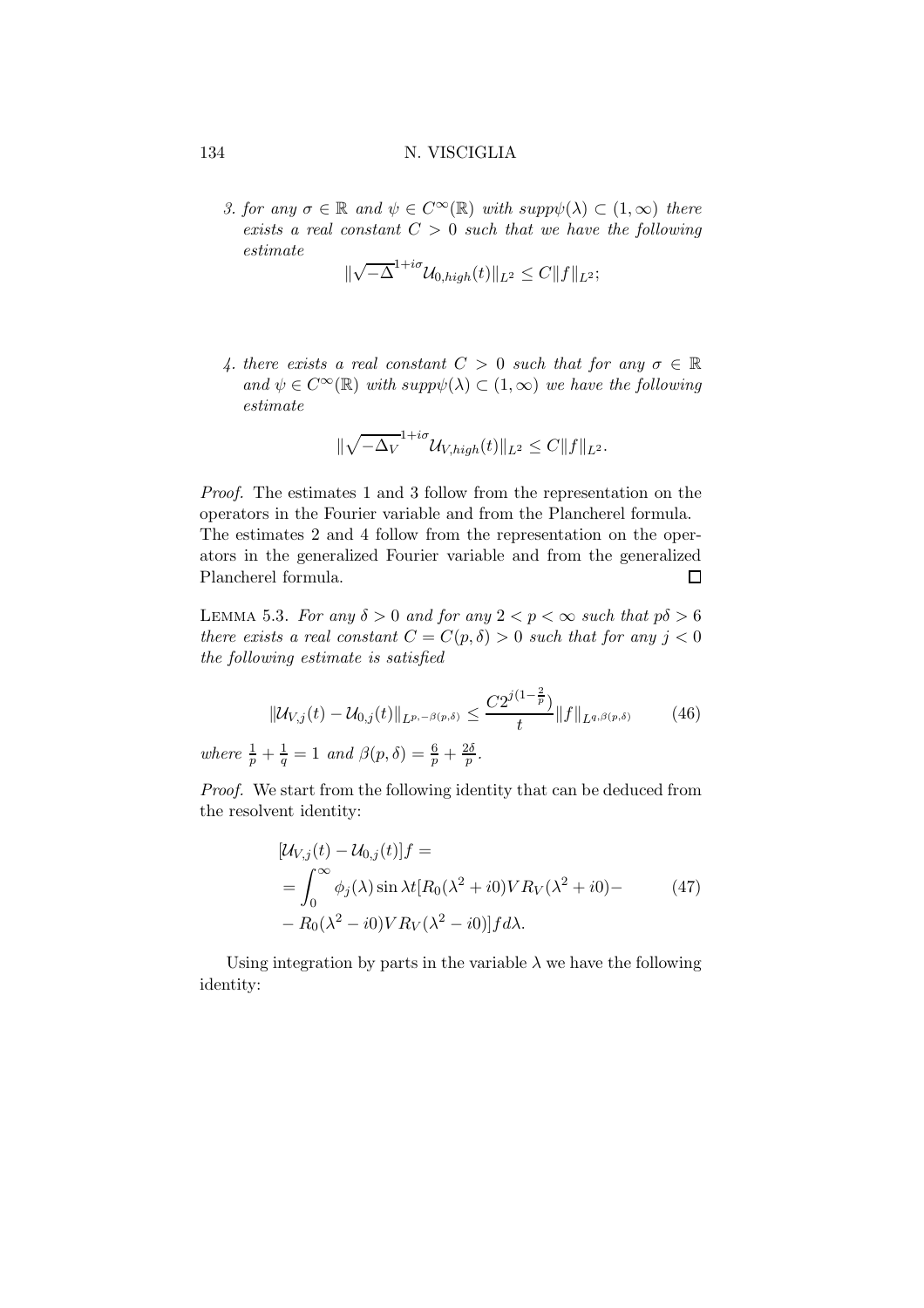3. for any  $\sigma \in \mathbb{R}$  and  $\psi \in C^{\infty}(\mathbb{R})$  with  $supp\psi(\lambda) \subset (1,\infty)$  there exists a real constant  $C > 0$  such that we have the following estimate

$$
\|\sqrt{-\Delta}^{1+i\sigma} \mathcal{U}_{0,high}(t)\|_{L^2} \leq C \|f\|_{L^2};
$$

4. there exists a real constant  $C > 0$  such that for any  $\sigma \in \mathbb{R}$ and  $\psi \in C^{\infty}(\mathbb{R})$  with supp $\psi(\lambda) \subset (1,\infty)$  we have the following estimate

$$
\|\sqrt{-\Delta_V}^{1+i\sigma} \mathcal{U}_{V,high}(t)\|_{L^2} \leq C \|f\|_{L^2}.
$$

Proof. The estimates 1 and 3 follow from the representation on the operators in the Fourier variable and from the Plancherel formula. The estimates 2 and 4 follow from the representation on the operators in the generalized Fourier variable and from the generalized Plancherel formula.  $\Box$ 

LEMMA 5.3. For any  $\delta > 0$  and for any  $2 < p < \infty$  such that  $p\delta > 6$ there exists a real constant  $C = C(p, \delta) > 0$  such that for any  $j < 0$ the following estimate is satisfied

$$
\|U_{V,j}(t) - U_{0,j}(t)\|_{L^{p,-\beta(p,\delta)}} \le \frac{C2^{j(1-\frac{2}{p})}}{t} \|f\|_{L^{q,\beta(p,\delta)}} \tag{46}
$$

where  $\frac{1}{p} + \frac{1}{q} = 1$  and  $\beta(p, \delta) = \frac{6}{p} + \frac{2\delta}{p}$ .

Proof. We start from the following identity that can be deduced from the resolvent identity:

$$
[\mathcal{U}_{V,j}(t) - \mathcal{U}_{0,j}(t)]f =
$$
  
= 
$$
\int_0^\infty \phi_j(\lambda) \sin \lambda t [R_0(\lambda^2 + i0)V R_V(\lambda^2 + i0) - R_0(\lambda^2 - i0)V R_V(\lambda^2 - i0)]f d\lambda.
$$
 (47)

Using integration by parts in the variable  $\lambda$  we have the following identity: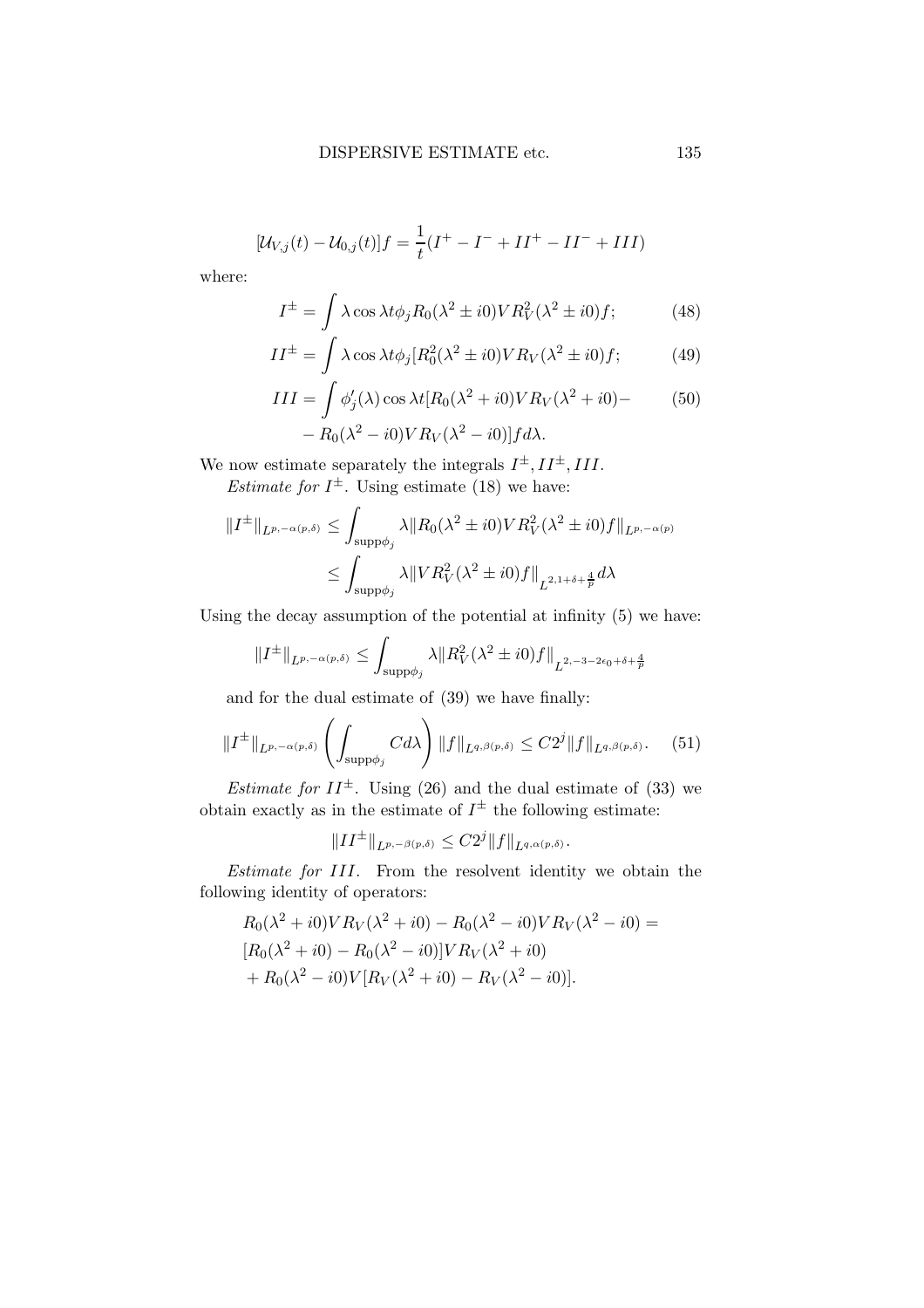$$
[\mathcal{U}_{V,j}(t) - \mathcal{U}_{0,j}(t)]f = \frac{1}{t}(I^+ - I^- + II^+ - II^- + III)
$$

where:

$$
I^{\pm} = \int \lambda \cos \lambda t \phi_j R_0(\lambda^2 \pm i0) V R_V^2(\lambda^2 \pm i0) f; \tag{48}
$$

$$
II^{\pm} = \int \lambda \cos \lambda t \phi_j [R_0^2(\lambda^2 \pm i0)VR_V(\lambda^2 \pm i0)f; \tag{49}
$$

$$
III = \int \phi_j'(\lambda) \cos \lambda t [R_0(\lambda^2 + i0)VR_V(\lambda^2 + i0) - R_0(\lambda^2 - i0)VR_V(\lambda^2 - i0)]fd\lambda.
$$
 (50)

We now estimate separately the integrals  $I^{\pm}$ ,  $II^{\pm}$ ,  $III$ . *Estimate for*  $I^{\pm}$ . Using estimate (18) we have:

$$
||I^{\pm}||_{L^{p,-\alpha(p,\delta)}} \le \int_{\text{supp}\phi_j} \lambda ||R_0(\lambda^2 \pm i0)V R_V^2(\lambda^2 \pm i0)f||_{L^{p,-\alpha(p)}}
$$
  

$$
\le \int_{\text{supp}\phi_j} \lambda ||VR_V^2(\lambda^2 \pm i0)f||_{L^{2,1+\delta+\frac{4}{p}}}d\lambda
$$

Using the decay assumption of the potential at infinity (5) we have:

$$
||I^{\pm}||_{L^{p,-\alpha(p,\delta)}} \leq \int_{\text{supp}\phi_j} \lambda ||R_V^2(\lambda^2 \pm i0)f||_{L^{2,-3-2\epsilon_0+\delta+\frac{4}{p}}}
$$

and for the dual estimate of (39) we have finally:

$$
||I^{\pm}||_{L^{p,-\alpha(p,\delta)}} \left(\int_{\text{supp}\phi_j} C d\lambda\right) ||f||_{L^{q,\beta(p,\delta)}} \leq C2^j ||f||_{L^{q,\beta(p,\delta)}}. \tag{51}
$$

*Estimate for*  $II^{\pm}$ . Using (26) and the dual estimate of (33) we obtain exactly as in the estimate of  $I^{\pm}$  the following estimate:

$$
||II^{\pm}||_{L^{p,-\beta(p,\delta)}} \leq C2^{j}||f||_{L^{q,\alpha(p,\delta)}}.
$$

Estimate for III. From the resolvent identity we obtain the following identity of operators:

$$
R_0(\lambda^2 + i0)VR_V(\lambda^2 + i0) - R_0(\lambda^2 - i0)VR_V(\lambda^2 - i0) =
$$
  
\n
$$
[R_0(\lambda^2 + i0) - R_0(\lambda^2 - i0)]VR_V(\lambda^2 + i0) +
$$
  
\n
$$
+ R_0(\lambda^2 - i0)V[R_V(\lambda^2 + i0) - R_V(\lambda^2 - i0)].
$$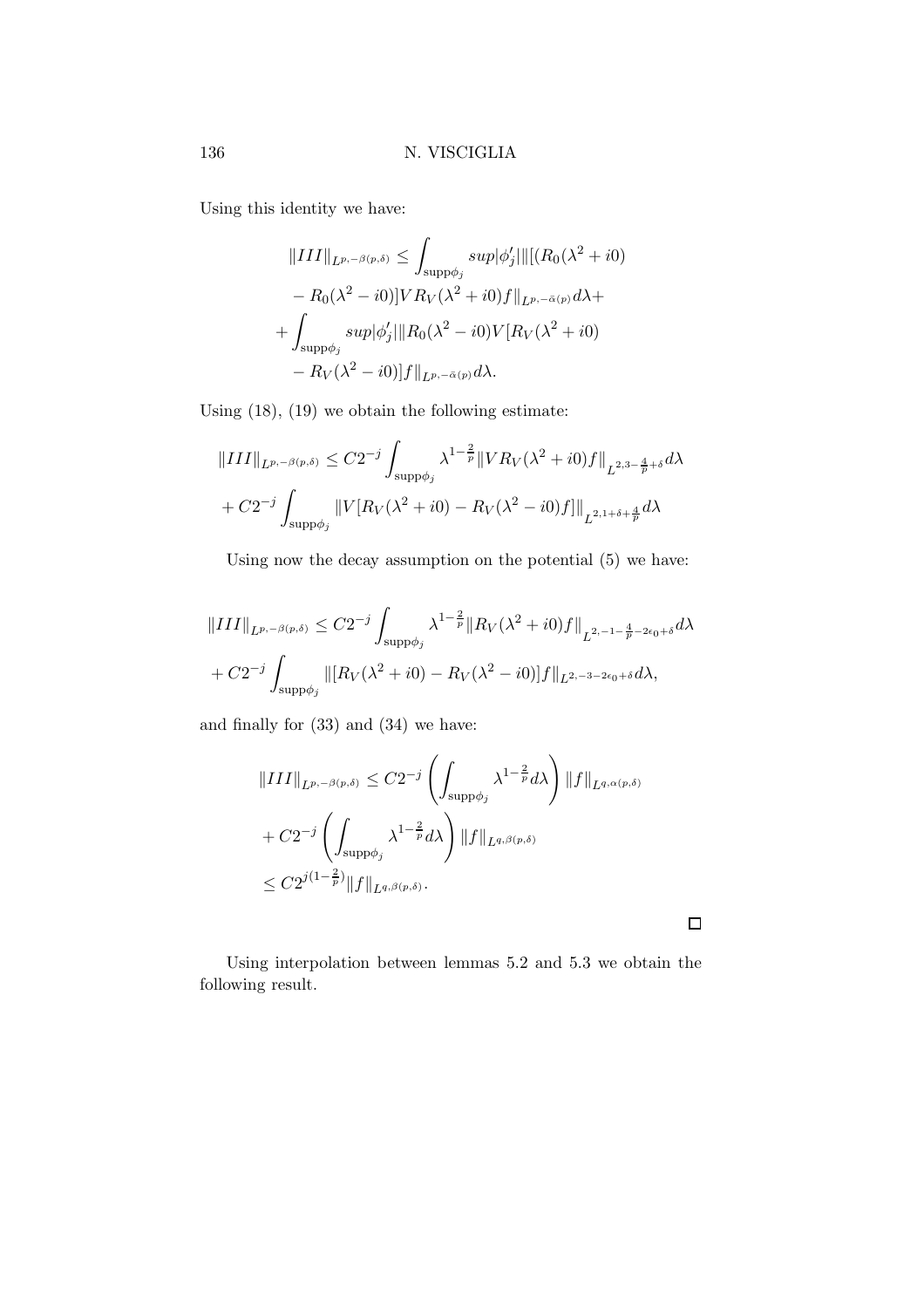Using this identity we have:

$$
||III||_{L^{p,-\beta(p,\delta)}} \leq \int_{\text{supp}\phi_j} \sup |\phi'_j| ||[(R_0(\lambda^2 + i0) - R_0(\lambda^2 - i0)]VR_V(\lambda^2 + i0)f||_{L^{p,-\bar{\alpha}(p)}}d\lambda +
$$
  
+ 
$$
\int_{\text{supp}\phi_j} \sup |\phi'_j|||R_0(\lambda^2 - i0)V[R_V(\lambda^2 + i0) - R_V(\lambda^2 - i0)]f||_{L^{p,-\bar{\alpha}(p)}}d\lambda.
$$

Using (18), (19) we obtain the following estimate:

$$
||III||_{L^{p,-\beta(p,\delta)}} \leq C2^{-j} \int_{\text{supp}\phi_j} \lambda^{1-\frac{2}{p}} ||VR_V(\lambda^2 + i0)f||_{L^{2,3-\frac{4}{p}+\delta}} d\lambda
$$
  
+  $C2^{-j} \int_{\text{supp}\phi_j} ||V[R_V(\lambda^2 + i0) - R_V(\lambda^2 - i0)f]||_{L^{2,1+\delta+\frac{4}{p}}} d\lambda$ 

Using now the decay assumption on the potential (5) we have:

$$
||III||_{L^{p,-\beta(p,\delta)}} \leq C2^{-j} \int_{\text{supp}\phi_j} \lambda^{1-\frac{2}{p}} ||R_V(\lambda^2 + i0)f||_{L^{2,-1-\frac{4}{p}-2\epsilon_0+\delta}} d\lambda
$$
  
+  $C2^{-j} \int_{\text{supp}\phi_j} ||[R_V(\lambda^2 + i0) - R_V(\lambda^2 - i0)]f||_{L^{2,-3-2\epsilon_0+\delta}} d\lambda,$ 

and finally for (33) and (34) we have:

$$
\|III\|_{L^{p,-\beta(p,\delta)}} \leq C2^{-j} \left( \int_{\text{supp}\phi_j} \lambda^{1-\frac{2}{p}} d\lambda \right) \|f\|_{L^{q,\alpha(p,\delta)}}
$$
  
+  $C2^{-j} \left( \int_{\text{supp}\phi_j} \lambda^{1-\frac{2}{p}} d\lambda \right) \|f\|_{L^{q,\beta(p,\delta)}}$   
 $\leq C2^{j(1-\frac{2}{p})} \|f\|_{L^{q,\beta(p,\delta)}}.$ 

 $\Box$ 

Using interpolation between lemmas 5.2 and 5.3 we obtain the following result.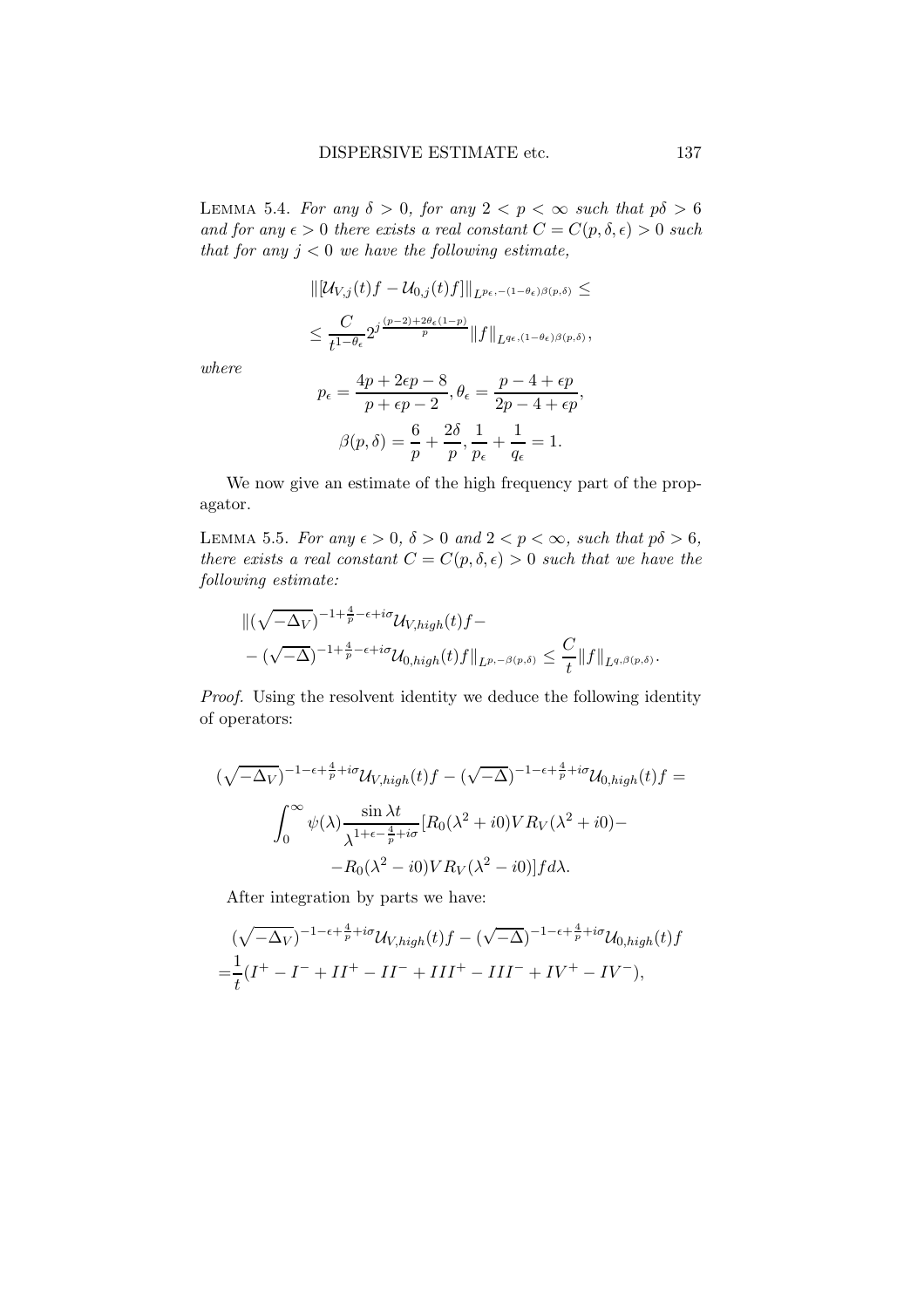LEMMA 5.4. For any  $\delta > 0$ , for any  $2 < p < \infty$  such that  $p\delta > 6$ and for any  $\epsilon > 0$  there exists a real constant  $C = C(p, \delta, \epsilon) > 0$  such that for any  $j < 0$  we have the following estimate,

$$
\begin{aligned} &\|[\mathcal{U}_{V,j}(t)f-\mathcal{U}_{0,j}(t)f]\|_{L^{p_{\epsilon},-(1-\theta_{\epsilon})\beta(p,\delta)}} \leq \\ &\leq \frac{C}{t^{1-\theta_{\epsilon}}} 2^{j\frac{(p-2)+2\theta_{\epsilon}(1-p)}{p}} \|f\|_{L^{q_{\epsilon},(1-\theta_{\epsilon})\beta(p,\delta)}}, \end{aligned}
$$

where

$$
p_{\epsilon} = \frac{4p + 2\epsilon p - 8}{p + \epsilon p - 2}, \theta_{\epsilon} = \frac{p - 4 + \epsilon p}{2p - 4 + \epsilon p},
$$

$$
\beta(p, \delta) = \frac{6}{p} + \frac{2\delta}{p}, \frac{1}{p_{\epsilon}} + \frac{1}{q_{\epsilon}} = 1.
$$

We now give an estimate of the high frequency part of the propagator.

LEMMA 5.5. For any  $\epsilon > 0$ ,  $\delta > 0$  and  $2 < p < \infty$ , such that  $p\delta > 6$ , there exists a real constant  $C = C(p, \delta, \epsilon) > 0$  such that we have the following estimate:

$$
\begin{aligned} &\|(\sqrt{-\Delta_V})^{-1+\frac{4}{p}-\epsilon+i\sigma}\mathcal{U}_{V,high}(t)f-\\ &-(\sqrt{-\Delta})^{-1+\frac{4}{p}-\epsilon+i\sigma}\mathcal{U}_{0,high}(t)f\|_{L^{p,-\beta(p,\delta)}}\leq \frac{C}{t}\|f\|_{L^{q,\beta(p,\delta)}}.\end{aligned}
$$

Proof. Using the resolvent identity we deduce the following identity of operators:

$$
(\sqrt{-\Delta_V})^{-1-\epsilon+\frac{4}{p}+i\sigma} \mathcal{U}_{V,high}(t) f - (\sqrt{-\Delta})^{-1-\epsilon+\frac{4}{p}+i\sigma} \mathcal{U}_{0,high}(t) f =
$$

$$
\int_0^\infty \psi(\lambda) \frac{\sin \lambda t}{\lambda^{1+\epsilon-\frac{4}{p}+i\sigma}} [R_0(\lambda^2+i0)V R_V(\lambda^2+i0) -
$$

$$
-R_0(\lambda^2-i0)V R_V(\lambda^2-i0)] f d\lambda.
$$

After integration by parts we have:

$$
(\sqrt{-\Delta_V})^{-1-\epsilon+\frac{4}{p}+i\sigma} \mathcal{U}_{V,high}(t) f - (\sqrt{-\Delta})^{-1-\epsilon+\frac{4}{p}+i\sigma} \mathcal{U}_{0,high}(t) f = \frac{1}{t}(I^+ - I^- + II^+ - II^- + III^+ - III^- + IV^+ - IV^-),
$$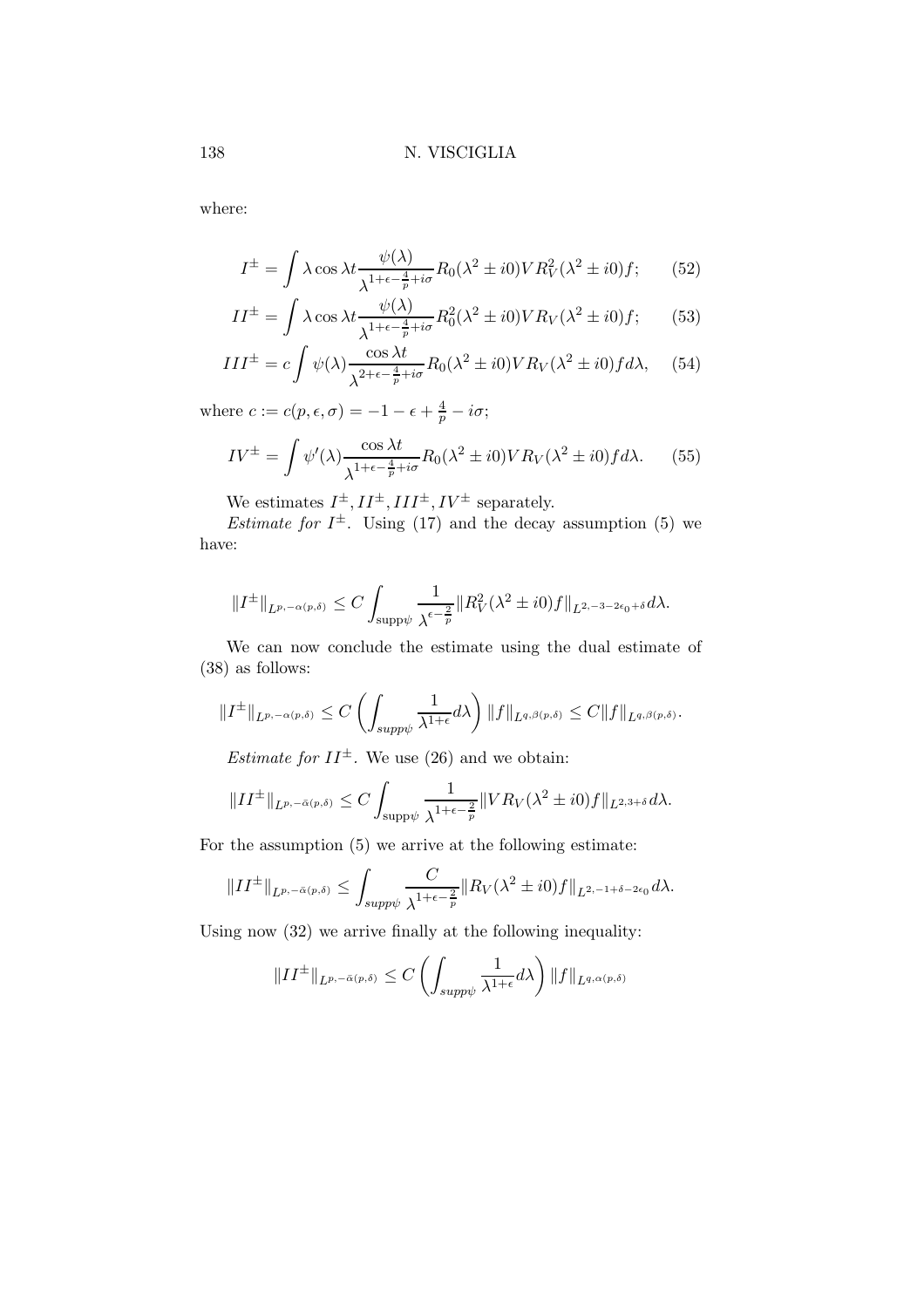where:

$$
I^{\pm} = \int \lambda \cos \lambda t \frac{\psi(\lambda)}{\lambda^{1+\epsilon-\frac{4}{p}+i\sigma}} R_0(\lambda^2 \pm i0) V R_V^2(\lambda^2 \pm i0) f; \qquad (52)
$$

$$
II^{\pm} = \int \lambda \cos \lambda t \frac{\psi(\lambda)}{\lambda^{1+\epsilon-\frac{4}{p}+i\sigma}} R_0^2(\lambda^2 \pm i0) V R_V(\lambda^2 \pm i0) f; \qquad (53)
$$

$$
III^{\pm} = c \int \psi(\lambda) \frac{\cos \lambda t}{\lambda^{2+\epsilon - \frac{4}{p} + i\sigma}} R_0(\lambda^2 \pm i0) VR_V(\lambda^2 \pm i0) f d\lambda, \quad (54)
$$

where  $c := c(p, \epsilon, \sigma) = -1 - \epsilon + \frac{4}{p} - i\sigma;$ 

$$
IV^{\pm} = \int \psi'(\lambda) \frac{\cos \lambda t}{\lambda^{1+\epsilon-\frac{4}{p}+i\sigma}} R_0(\lambda^2 \pm i0) V R_V(\lambda^2 \pm i0) f d\lambda. \tag{55}
$$

We estimates  $I^{\pm}$ ,  $II^{\pm}$ ,  $III^{\pm}$ ,  $IV^{\pm}$  separately.

*Estimate for*  $I^{\pm}$ . Using (17) and the decay assumption (5) we have:

$$
||I^{\pm}||_{L^{p,-\alpha(p,\delta)}} \leq C \int_{\text{supp}\psi} \frac{1}{\lambda^{\epsilon-\frac{2}{p}}} ||R_V^2(\lambda^2 \pm i0)f||_{L^{2,-3-2\epsilon_0+\delta}} d\lambda.
$$

We can now conclude the estimate using the dual estimate of (38) as follows:

$$
||I^{\pm}||_{L^{p,-\alpha(p,\delta)}} \leq C \left( \int_{supp\psi} \frac{1}{\lambda^{1+\epsilon}} d\lambda \right) ||f||_{L^{q,\beta(p,\delta)}} \leq C ||f||_{L^{q,\beta(p,\delta)}}.
$$

*Estimate for*  $II^{\pm}$ . We use (26) and we obtain:

$$
||II^{\pm}||_{L^{p,-\bar{\alpha}(p,\delta)}} \leq C \int_{\text{supp}\psi} \frac{1}{\lambda^{1+\epsilon-\frac{2}{p}}} ||VR_V(\lambda^2 \pm i0)f||_{L^{2,3+\delta}} d\lambda.
$$

For the assumption (5) we arrive at the following estimate:

$$
||II^{\pm}||_{L^{p,-\bar{\alpha}(p,\delta)}} \leq \int_{supp\psi} \frac{C}{\lambda^{1+\epsilon-\frac{2}{p}}} ||R_V(\lambda^2 \pm i0)f||_{L^{2,-1+\delta-2\epsilon_0}} d\lambda.
$$

Using now (32) we arrive finally at the following inequality:

$$
||II^{\pm}||_{L^{p,-\bar{\alpha}(p,\delta)}} \leq C \left( \int_{supp\psi} \frac{1}{\lambda^{1+\epsilon}} d\lambda \right) ||f||_{L^{q,\alpha(p,\delta)}}
$$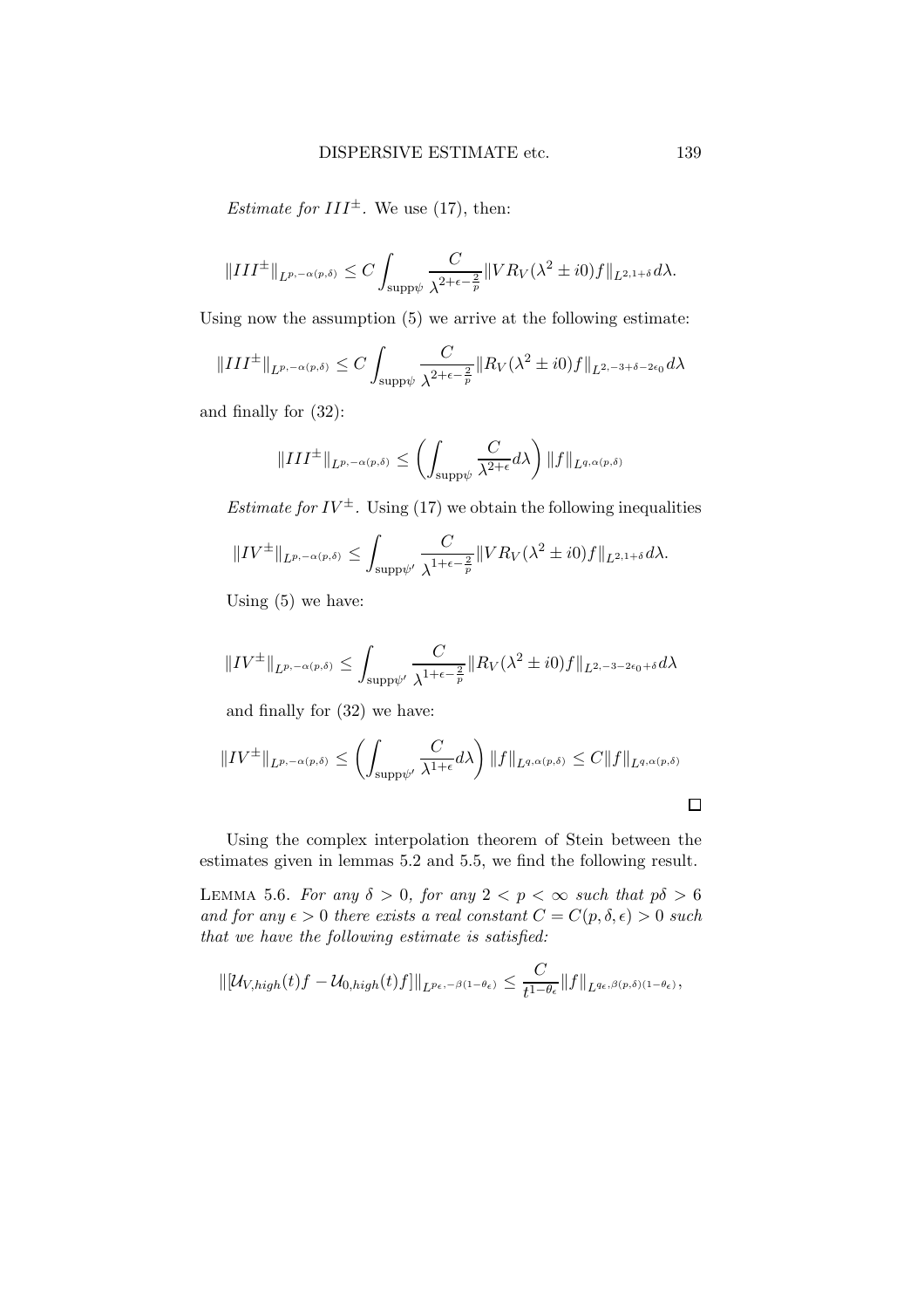*Estimate for*  $III^{\pm}$ *.* We use (17), then:

$$
||III^{\pm}||_{L^{p,-\alpha(p,\delta)}} \leq C \int_{\text{supp}\psi} \frac{C}{\lambda^{2+\epsilon-\frac{2}{p}}} ||VR_V(\lambda^2 \pm i0)f||_{L^{2,1+\delta}} d\lambda.
$$

Using now the assumption (5) we arrive at the following estimate:

$$
||III^{\pm}||_{L^{p,-\alpha(p,\delta)}} \leq C \int_{\text{supp}\psi} \frac{C}{\lambda^{2+\epsilon-\frac{2}{p}}} ||R_V(\lambda^2 \pm i0)f||_{L^{2,-3+\delta-2\epsilon_0}} d\lambda
$$

and finally for (32):

$$
||III^{\pm}||_{L^{p,-\alpha(p,\delta)}} \le \left(\int_{\text{supp}\psi} \frac{C}{\lambda^{2+\epsilon}} d\lambda\right) ||f||_{L^{q,\alpha(p,\delta)}}
$$

*Estimate for IV*<sup> $\pm$ </sup>. Using (17) we obtain the following inequalities

$$
||IV^{\pm}||_{L^{p,-\alpha(p,\delta)}} \leq \int_{\text{supp}\psi'} \frac{C}{\lambda^{1+\epsilon-\frac{2}{p}}} ||VR_V(\lambda^2 \pm i0)f||_{L^{2,1+\delta}} d\lambda.
$$

Using (5) we have:

$$
||IV^{\pm}||_{L^{p,-\alpha(p,\delta)}} \leq \int_{\text{supp}\psi'} \frac{C}{\lambda^{1+\epsilon-\frac{2}{p}}} ||R_V(\lambda^2 \pm i0)f||_{L^{2,-3-2\epsilon_0+\delta}} d\lambda
$$

and finally for (32) we have:

$$
||IV^{\pm}||_{L^{p,-\alpha(p,\delta)}} \leq \left(\int_{\text{supp}\psi'} \frac{C}{\lambda^{1+\epsilon}} d\lambda\right) ||f||_{L^{q,\alpha(p,\delta)}} \leq C ||f||_{L^{q,\alpha(p,\delta)}}
$$

Using the complex interpolation theorem of Stein between the estimates given in lemmas 5.2 and 5.5, we find the following result.

LEMMA 5.6. For any  $\delta > 0$ , for any  $2 < p < \infty$  such that  $p\delta > 6$ and for any  $\epsilon > 0$  there exists a real constant  $C = C(p, \delta, \epsilon) > 0$  such that we have the following estimate is satisfied:

$$
\|[\mathcal{U}_{V,high}(t)f-\mathcal{U}_{0,high}(t)f]\|_{L^{p_{\epsilon},-\beta(1-\theta_{\epsilon})}}\leq \frac{C}{t^{1-\theta_{\epsilon}}}\|f\|_{L^{q_{\epsilon},\beta(p,\delta)(1-\theta_{\epsilon})}},
$$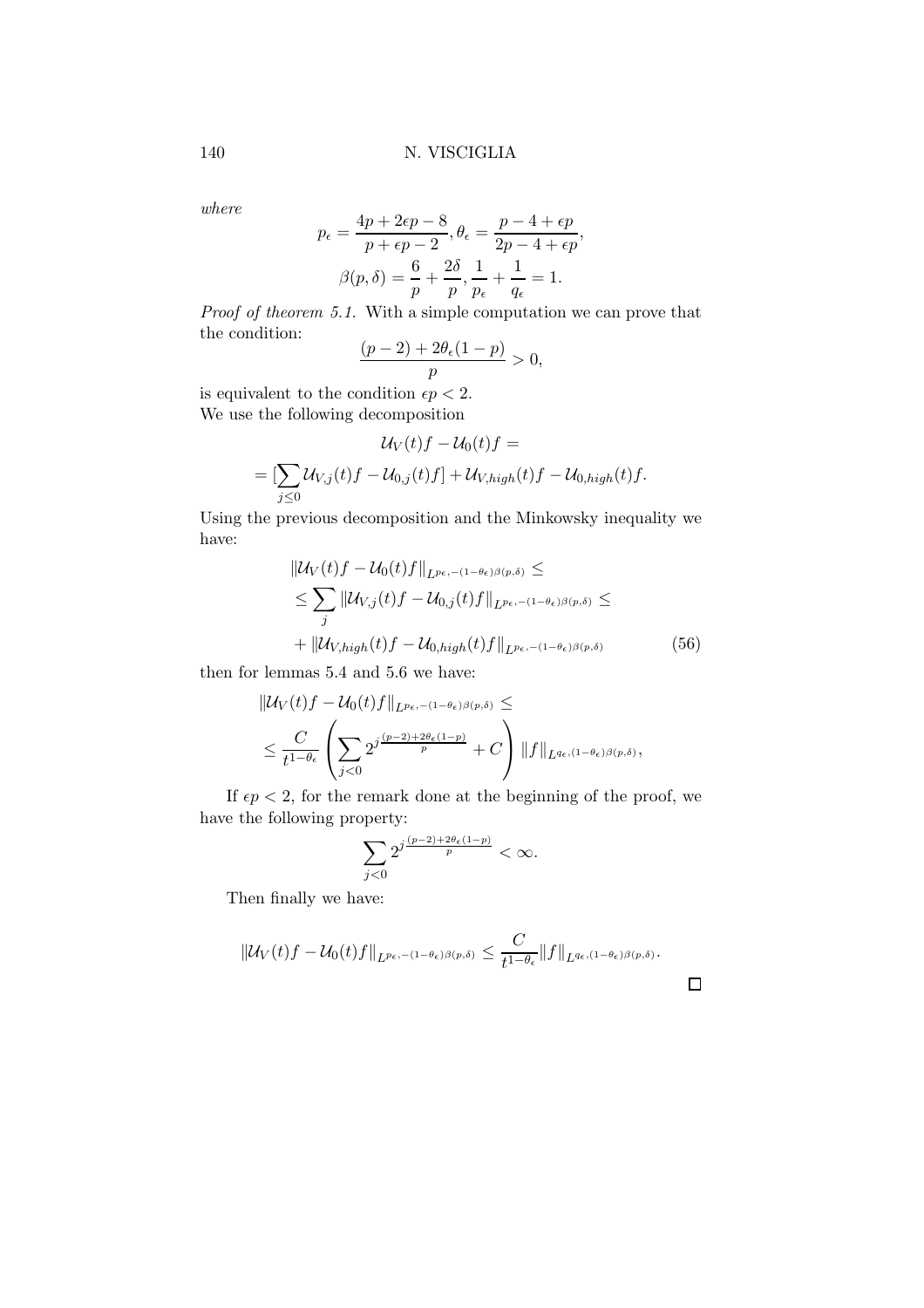where

$$
p_{\epsilon} = \frac{4p + 2\epsilon p - 8}{p + \epsilon p - 2}, \theta_{\epsilon} = \frac{p - 4 + \epsilon p}{2p - 4 + \epsilon p},
$$

$$
\beta(p, \delta) = \frac{6}{p} + \frac{2\delta}{p}, \frac{1}{p_{\epsilon}} + \frac{1}{q_{\epsilon}} = 1.
$$

Proof of theorem 5.1. With a simple computation we can prove that the condition:  $(1, 2) + 2\theta(1, 1)$ 

$$
\frac{(p-2)+2\theta_{\epsilon}(1-p)}{p} > 0,
$$

is equivalent to the condition  $\epsilon p < 2$ . We use the following decomposition

$$
\mathcal{U}_V(t)f - \mathcal{U}_0(t)f =
$$
  
= 
$$
[\sum_{j\leq 0} \mathcal{U}_{V,j}(t)f - \mathcal{U}_{0,j}(t)f] + \mathcal{U}_{V,high}(t)f - \mathcal{U}_{0,high}(t)f.
$$

Using the previous decomposition and the Minkowsky inequality we have:

$$
\|U_V(t)f - U_0(t)f\|_{L^{p_{\epsilon,-(1-\theta_{\epsilon})\beta(p,\delta)}}} \le
$$
  
\n
$$
\le \sum_j \|U_{V,j}(t)f - U_{0,j}(t)f\|_{L^{p_{\epsilon,-(1-\theta_{\epsilon})\beta(p,\delta)}}} \le
$$
  
\n
$$
+ \|U_{V,high}(t)f - U_{0,high}(t)f\|_{L^{p_{\epsilon,-(1-\theta_{\epsilon})\beta(p,\delta)}}}
$$
(56)

then for lemmas 5.4 and 5.6 we have:

$$
\begin{aligned} &\|\mathcal{U}_V(t)f-\mathcal{U}_0(t)f\|_{L^{p_\epsilon,-(1-\theta_\epsilon)\beta(p,\delta)}}\leq\\&\leq \frac{C}{t^{1-\theta_\epsilon}}\left(\sum_{j<0}2^{j\frac{(p-2)+2\theta_\epsilon(1-p)}{p}}+C\right)\|f\|_{L^{q_\epsilon,(1-\theta_\epsilon)\beta(p,\delta)}},\end{aligned}
$$

If  $\epsilon p < 2$ , for the remark done at the beginning of the proof, we have the following property:

$$
\sum_{j<0} 2^{j\frac{(p-2)+2\theta\epsilon(1-p)}{p}} < \infty.
$$

Then finally we have:

$$
\|\mathcal{U}_V(t)f-\mathcal{U}_0(t)f\|_{L^{p_\epsilon,-(1-\theta_\epsilon)\beta(p,\delta)}}\leq \frac{C}{t^{1-\theta_\epsilon}}\|f\|_{L^{q_\epsilon,(1-\theta_\epsilon)\beta(p,\delta)}}.
$$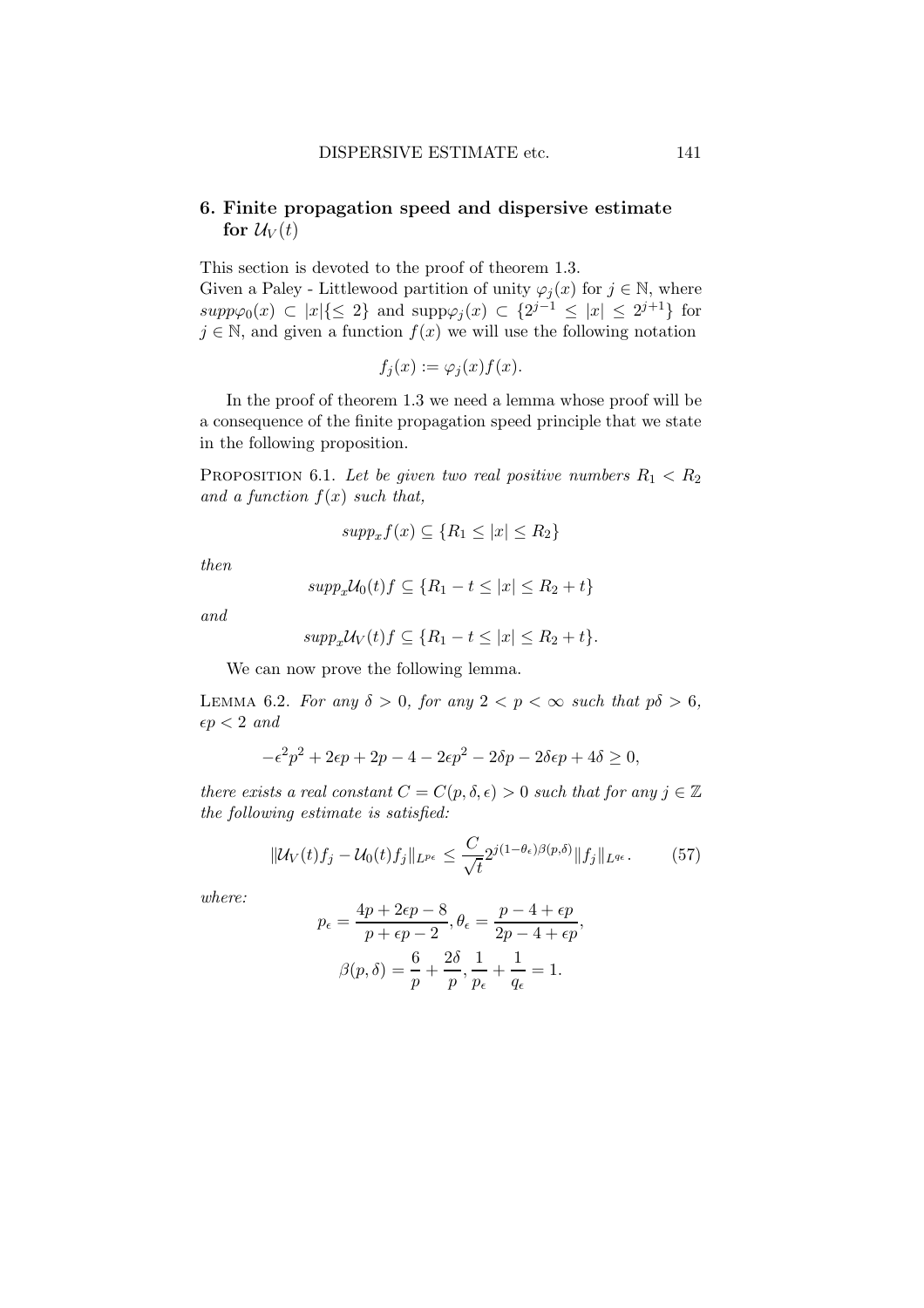# 6. Finite propagation speed and dispersive estimate for  $\mathcal{U}_V(t)$

This section is devoted to the proof of theorem 1.3. Given a Paley - Littlewood partition of unity  $\varphi_i(x)$  for  $j \in \mathbb{N}$ , where  $supp\varphi_0(x) \subset |x| \{ \leq 2 \}$  and  $supp\varphi_j(x) \subset \{2^{j-1} \leq |x| \leq 2^{j+1} \}$  for  $j \in \mathbb{N}$ , and given a function  $f(x)$  we will use the following notation

$$
f_j(x) := \varphi_j(x) f(x).
$$

In the proof of theorem 1.3 we need a lemma whose proof will be a consequence of the finite propagation speed principle that we state in the following proposition.

PROPOSITION 6.1. Let be given two real positive numbers  $R_1 < R_2$ and a function  $f(x)$  such that,

$$
supp_x f(x) \subseteq \{R_1 \le |x| \le R_2\}
$$

then

$$
supp_x\mathcal{U}_0(t)f \subseteq \{R_1 - t \le |x| \le R_2 + t\}
$$

and

$$
supp_x\mathcal{U}_V(t)f \subseteq \{R_1 - t \le |x| \le R_2 + t\}.
$$

We can now prove the following lemma.

LEMMA 6.2. For any  $\delta > 0$ , for any  $2 < p < \infty$  such that  $p\delta > 6$ ,  $\epsilon p < 2$  and

$$
-\epsilon^2 p^2 + 2\epsilon p + 2p - 4 - 2\epsilon p^2 - 2\delta p - 2\delta \epsilon p + 4\delta \ge 0,
$$

there exists a real constant  $C = C(p, \delta, \epsilon) > 0$  such that for any  $j \in \mathbb{Z}$ the following estimate is satisfied:

$$
\|\mathcal{U}_V(t)f_j - \mathcal{U}_0(t)f_j\|_{L^{p_\epsilon}} \le \frac{C}{\sqrt{t}} 2^{j(1-\theta_\epsilon)\beta(p,\delta)} \|f_j\|_{L^{q_\epsilon}}.\tag{57}
$$

where:

$$
p_{\epsilon} = \frac{4p + 2\epsilon p - 8}{p + \epsilon p - 2}, \theta_{\epsilon} = \frac{p - 4 + \epsilon p}{2p - 4 + \epsilon p},
$$

$$
\beta(p, \delta) = \frac{6}{p} + \frac{2\delta}{p}, \frac{1}{p_{\epsilon}} + \frac{1}{q_{\epsilon}} = 1.
$$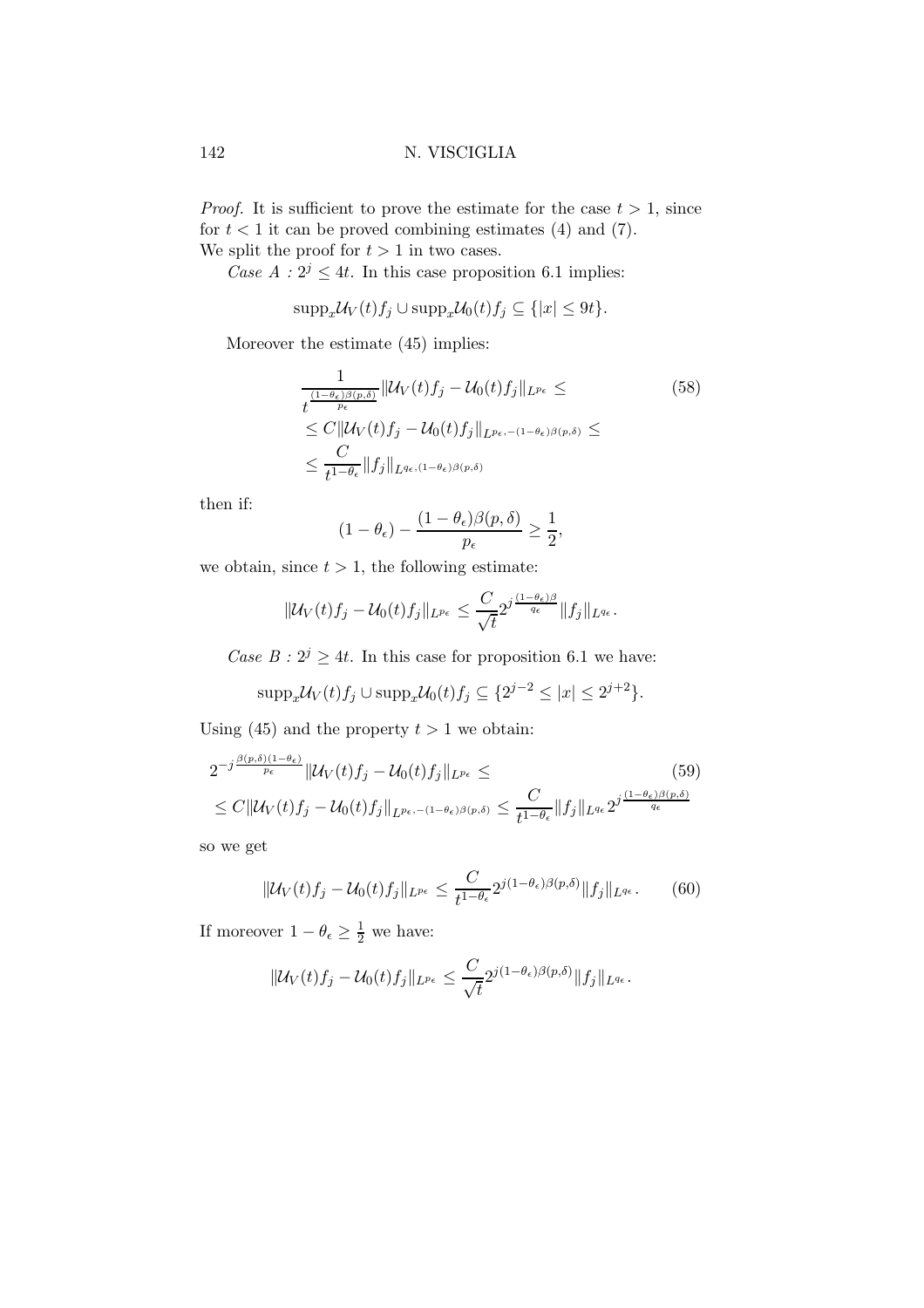*Proof.* It is sufficient to prove the estimate for the case  $t > 1$ , since for  $t < 1$  it can be proved combining estimates (4) and (7). We split the proof for  $t > 1$  in two cases.

Case  $A: 2^j \leq 4t$ . In this case proposition 6.1 implies:

$$
\mathrm{supp}_x \mathcal{U}_V(t) f_j \cup \mathrm{supp}_x \mathcal{U}_0(t) f_j \subseteq \{|x| \le 9t\}.
$$

Moreover the estimate (45) implies:

$$
\frac{1}{t^{\frac{(1-\theta_{\epsilon})\beta(p,\delta)}{p_{\epsilon}}}} \|\mathcal{U}_V(t)f_j - \mathcal{U}_0(t)f_j\|_{L^{p_{\epsilon}}} \leq
$$
\n
$$
\leq C \|\mathcal{U}_V(t)f_j - \mathcal{U}_0(t)f_j\|_{L^{p_{\epsilon},-(1-\theta_{\epsilon})\beta(p,\delta)}} \leq
$$
\n
$$
\leq \frac{C}{t^{1-\theta_{\epsilon}}} \|f_j\|_{L^{q_{\epsilon},(1-\theta_{\epsilon})\beta(p,\delta)}}
$$
\n(58)

then if:

$$
(1 - \theta_{\epsilon}) - \frac{(1 - \theta_{\epsilon})\beta(p, \delta)}{p_{\epsilon}} \ge \frac{1}{2},
$$

we obtain, since  $t > 1$ , the following estimate:

$$
\| \mathcal{U}_V(t) f_j - \mathcal{U}_0(t) f_j \|_{L^{p_{\epsilon}}} \leq \frac{C}{\sqrt{t}} 2^{j \frac{(1-\theta_{\epsilon}) \beta}{q_{\epsilon}}} \| f_j \|_{L^{q_{\epsilon}}}.
$$

Case  $B: 2^j \geq 4t$ . In this case for proposition 6.1 we have:

$$
\mathrm{supp}_x \mathcal{U}_V(t) f_j \cup \mathrm{supp}_x \mathcal{U}_0(t) f_j \subseteq \{2^{j-2} \le |x| \le 2^{j+2}\}.
$$

Using (45) and the property  $t > 1$  we obtain:

$$
2^{-j\frac{\beta(p,\delta)(1-\theta_{\epsilon})}{p_{\epsilon}}} \|\mathcal{U}_{V}(t)f_{j}-\mathcal{U}_{0}(t)f_{j}\|_{L^{p_{\epsilon}}} \leq (59)
$$
  

$$
\leq C \|\mathcal{U}_{V}(t)f_{j}-\mathcal{U}_{0}(t)f_{j}\|_{L^{p_{\epsilon},-(1-\theta_{\epsilon})\beta(p,\delta)}} \leq \frac{C}{t^{1-\theta_{\epsilon}}} \|f_{j}\|_{L^{q_{\epsilon}}} 2^{j\frac{(1-\theta_{\epsilon})\beta(p,\delta)}{q_{\epsilon}}}
$$

so we get

$$
\|\mathcal{U}_V(t)f_j - \mathcal{U}_0(t)f_j\|_{L^{p_\epsilon}} \le \frac{C}{t^{1-\theta_\epsilon}} 2^{j(1-\theta_\epsilon)\beta(p,\delta)} \|f_j\|_{L^{q_\epsilon}}.\tag{60}
$$

If moreover  $1 - \theta_{\epsilon} \geq \frac{1}{2}$  we have:

$$
\|\mathcal{U}_V(t)f_j-\mathcal{U}_0(t)f_j\|_{L^{p_{\epsilon}}} \leq \frac{C}{\sqrt{t}} 2^{j(1-\theta_{\epsilon})\beta(p,\delta)} \|f_j\|_{L^{q_{\epsilon}}}.
$$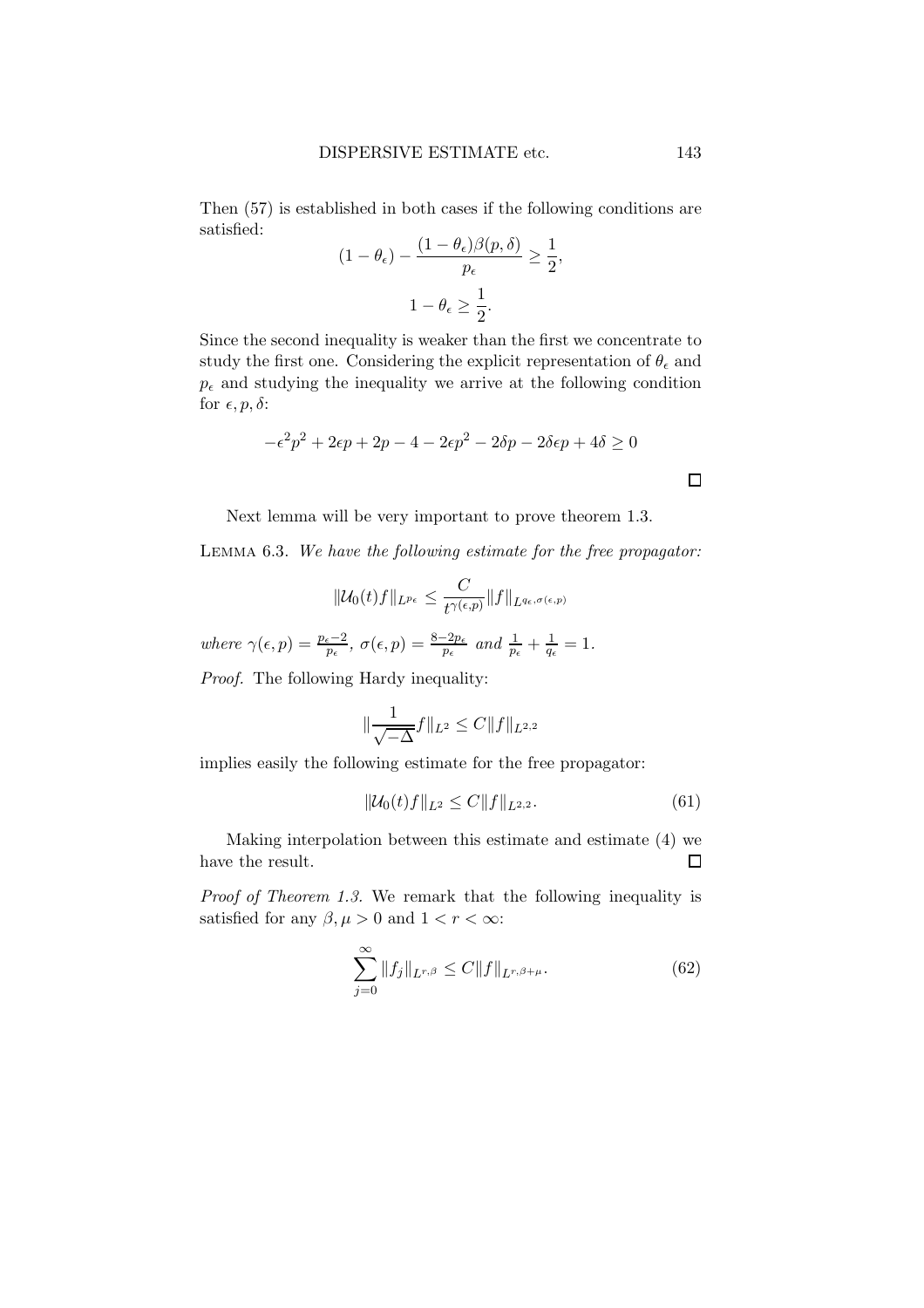Then (57) is established in both cases if the following conditions are satisfied:  $(1 - \theta) \theta(x, \zeta)$  $\mathbf{1}$ 

$$
(1 - \theta_{\epsilon}) - \frac{(1 - \theta_{\epsilon})\beta(p, \delta)}{p_{\epsilon}} \ge \frac{1}{2},
$$

$$
1 - \theta_{\epsilon} \ge \frac{1}{2}.
$$

Since the second inequality is weaker than the first we concentrate to study the first one. Considering the explicit representation of  $\theta_{\epsilon}$  and  $p_{\epsilon}$  and studying the inequality we arrive at the following condition for  $\epsilon, p, \delta$ :

$$
-\epsilon^2 p^2 + 2\epsilon p + 2p - 4 - 2\epsilon p^2 - 2\delta p - 2\delta \epsilon p + 4\delta \ge 0
$$

Next lemma will be very important to prove theorem 1.3.

Lemma 6.3. We have the following estimate for the free propagator:

$$
\|\mathcal{U}_0(t)f\|_{L^{p_\epsilon}} \leq \frac{C}{t^{\gamma(\epsilon, p)}} \|f\|_{L^{q_\epsilon, \sigma(\epsilon, p)}}
$$

where  $\gamma(\epsilon, p) = \frac{p_{\epsilon} - 2}{p_{\epsilon}}, \sigma(\epsilon, p) = \frac{8 - 2p_{\epsilon}}{p_{\epsilon}} \text{ and } \frac{1}{p_{\epsilon}} + \frac{1}{q_{\epsilon}} = 1.$ 

Proof. The following Hardy inequality:

$$
\|\frac{1}{\sqrt{-\Delta}}f\|_{L^2} \le C \|f\|_{L^{2,2}}
$$

implies easily the following estimate for the free propagator:

$$
\|\mathcal{U}_0(t)f\|_{L^2} \le C \|f\|_{L^{2,2}}.\tag{61}
$$

Making interpolation between this estimate and estimate (4) we have the result.  $\Box$ 

Proof of Theorem 1.3. We remark that the following inequality is satisfied for any  $\beta, \mu > 0$  and  $1 < r < \infty$ :

$$
\sum_{j=0}^{\infty} \|f_j\|_{L^{r,\beta}} \le C \|f\|_{L^{r,\beta+\mu}}.
$$
\n(62)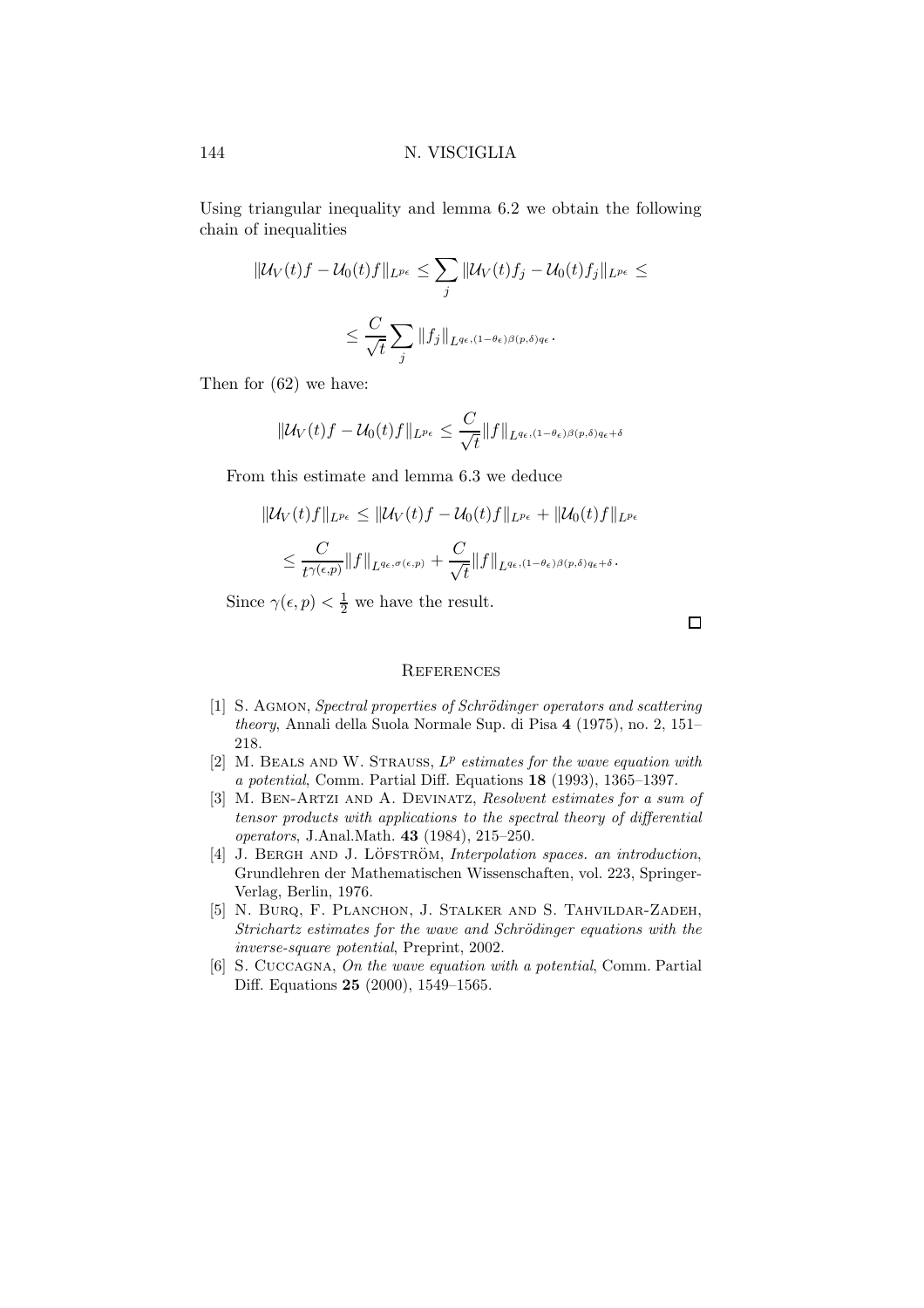Using triangular inequality and lemma 6.2 we obtain the following chain of inequalities

$$
\begin{aligned} \|\mathcal{U}_V(t)f - \mathcal{U}_0(t)f\|_{L^{p_{\epsilon}}} &\leq \sum_j \|\mathcal{U}_V(t)f_j - \mathcal{U}_0(t)f_j\|_{L^{p_{\epsilon}}} \leq \\ &\leq \frac{C}{\sqrt{t}} \sum_j \|f_j\|_{L^{q_{\epsilon},(1-\theta_{\epsilon})\beta(p,\delta)q_{\epsilon}}}.\end{aligned}
$$

Then for (62) we have:

$$
\| \mathcal{U}_V(t)f - \mathcal{U}_0(t)f \|_{L^{p_\epsilon}} \leq \frac{C}{\sqrt{t}} \| f \|_{L^{q_\epsilon,(1-\theta_\epsilon)\beta(p,\delta)q_\epsilon+\delta}}
$$

From this estimate and lemma 6.3 we deduce

$$
\begin{aligned} \|\mathcal{U}_V(t)f\|_{L^{p_{\epsilon}}} &\leq \|\mathcal{U}_V(t)f - \mathcal{U}_0(t)f\|_{L^{p_{\epsilon}}} + \|\mathcal{U}_0(t)f\|_{L^{p_{\epsilon}}} \\ &\leq \frac{C}{t^{\gamma(\epsilon,p)}} \|f\|_{L^{q_{\epsilon},\sigma(\epsilon,p)}} + \frac{C}{\sqrt{t}} \|f\|_{L^{q_{\epsilon},(1-\theta_{\epsilon})\beta(p,\delta)q_{\epsilon}+\delta}}.\end{aligned}
$$

Since  $\gamma(\epsilon, p) < \frac{1}{2}$  we have the result.

 $\Box$ 

## **REFERENCES**

- [1] S. AGMON, Spectral properties of Schrödinger operators and scattering theory, Annali della Suola Normale Sup. di Pisa 4 (1975), no. 2, 151– 218.
- [2] M. BEALS AND W. STRAUSS,  $L^p$  estimates for the wave equation with a potential, Comm. Partial Diff. Equations 18 (1993), 1365–1397.
- [3] M. BEN-ARTZI AND A. DEVINATZ, Resolvent estimates for a sum of tensor products with applications to the spectral theory of differential operators, J.Anal.Math. 43 (1984), 215–250.
- [4] J. BERGH AND J. LÖFSTRÖM, Interpolation spaces. an introduction, Grundlehren der Mathematischen Wissenschaften, vol. 223, Springer-Verlag, Berlin, 1976.
- [5] N. BURQ, F. PLANCHON, J. STALKER AND S. TAHVILDAR-ZADEH, Strichartz estimates for the wave and Schrödinger equations with the inverse-square potential, Preprint, 2002.
- [6] S. CUCCAGNA, On the wave equation with a potential, Comm. Partial Diff. Equations 25 (2000), 1549–1565.